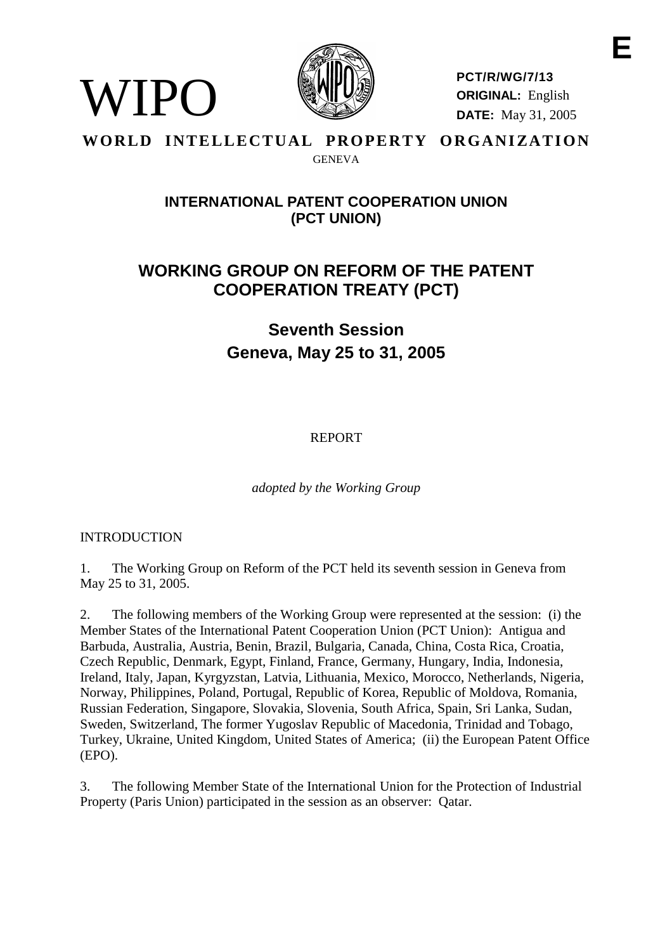

**PCT/R/WG/7/13 ORIGINAL:** English **DATE:** May 31, 2005

### WORLD INTELLECTUAL PROPERTY ORGANIZATION GENEVA

# **INTERNATIONAL PATENT COOPERATION UNION (PCT UNION)**

# **WORKING GROUP ON REFORM OF THE PATENT COOPERATION TREATY (PCT)**

**Seventh Session Geneva, May 25 to 31, 2005**

REPORT

*adopted by the Working Group*

INTRODUCTION

WIPO)

1. The Working Group on Reform of the PCT held its seventh session in Geneva from May 25 to 31, 2005.

2. The following members of the Working Group were represented at the session: (i) the Member States of the International Patent Cooperation Union (PCT Union): Antigua and Barbuda, Australia, Austria, Benin, Brazil, Bulgaria, Canada, China, Costa Rica, Croatia, Czech Republic, Denmark, Egypt, Finland, France, Germany, Hungary, India, Indonesia, Ireland, Italy, Japan, Kyrgyzstan, Latvia, Lithuania, Mexico, Morocco, Netherlands, Nigeria, Norway, Philippines, Poland, Portugal, Republic of Korea, Republic of Moldova, Romania, Russian Federation, Singapore, Slovakia, Slovenia, South Africa, Spain, Sri Lanka, Sudan, Sweden, Switzerland, The former Yugoslav Republic of Macedonia, Trinidad and Tobago, Turkey, Ukraine, United Kingdom, United States of America; (ii) the European Patent Office (EPO).

3. The following Member State of the International Union for the Protection of Industrial Property (Paris Union) participated in the session as an observer: Qatar.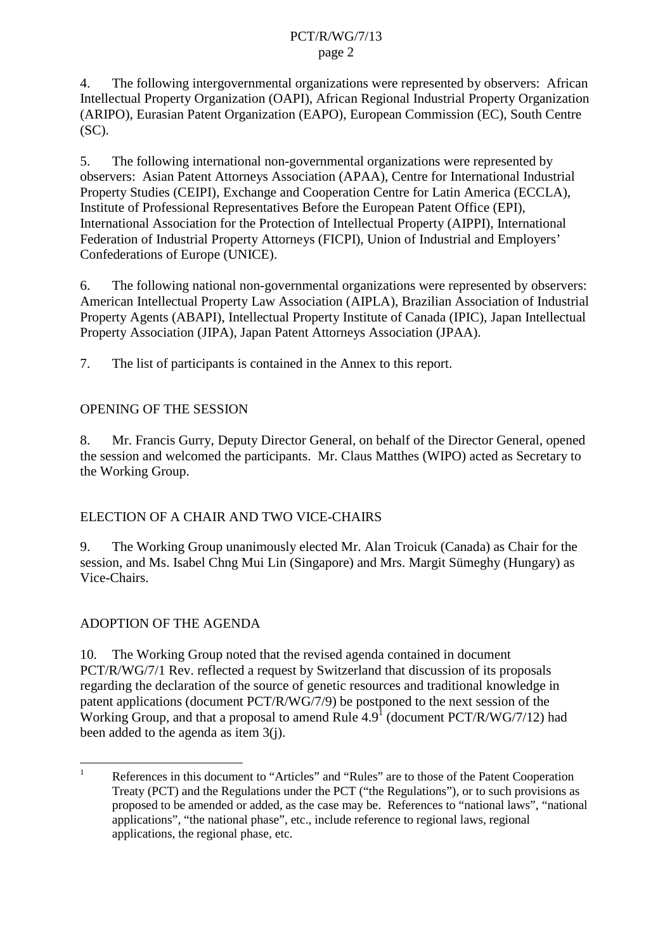<span id="page-1-0"></span>4. The following intergovernmental organizations were represented by observers: African Intellectual Property Organization (OAPI), African Regional Industrial Property Organization (ARIPO), Eurasian Patent Organization (EAPO), European Commission (EC), South Centre (SC).

5. The following international non-governmental organizations were represented by observers: Asian Patent Attorneys Association (APAA), Centre for International Industrial Property Studies (CEIPI), Exchange and Cooperation Centre for Latin America (ECCLA), Institute of Professional Representatives Before the European Patent Office (EPI), International Association for the Protection of Intellectual Property (AIPPI), International Federation of Industrial Property Attorneys (FICPI), Union of Industrial and Employers' Confederations of Europe (UNICE).

6. The following national non-governmental organizations were represented by observers: American Intellectual Property Law Association (AIPLA), Brazilian Association of Industrial Property Agents (ABAPI), Intellectual Property Institute of Canada (IPIC), Japan Intellectual Property Association (JIPA), Japan Patent Attorneys Association (JPAA).

7. The list of participants is contained in the Annex to this report.

# OPENING OF THE SESSION

8. Mr. Francis Gurry, Deputy Director General, on behalf of the Director General, opened the session and welcomed the participants. Mr. Claus Matthes (WIPO) acted as Secretary to the Working Group.

# ELECTION OF A CHAIR AND TWO VICE-CHAIRS

9. The Working Group unanimously elected Mr. Alan Troicuk (Canada) as Chair for the session, and Ms. Isabel Chng Mui Lin (Singapore) and Mrs. Margit Sümeghy (Hungary) as Vice-Chairs.

# ADOPTION OF THE AGENDA

10. The Working Group noted that the revised agenda contained in document PCT/R/WG/7/1 Rev. reflected a request by Switzerland that discussion of its proposals regarding the declaration of the source of genetic resources and traditional knowledge in patent applications (document PCT/R/WG/7/9) be postponed to the next session of the Working Group, and that a proposal to amend Rule  $4.9<sup>1</sup>$  (document PCT/R/WG/7/12) had been added to the agenda as item 3(j).

<sup>&</sup>lt;sup>1</sup> References in this document to "Articles" and "Rules" are to those of the Patent Cooperation Treaty (PCT) and the Regulations under the PCT ("the Regulations"), or to such provisions as proposed to be amended or added, as the case may be. References to "national laws", "national applications", "the national phase", etc., include reference to regional laws, regional applications, the regional phase, etc.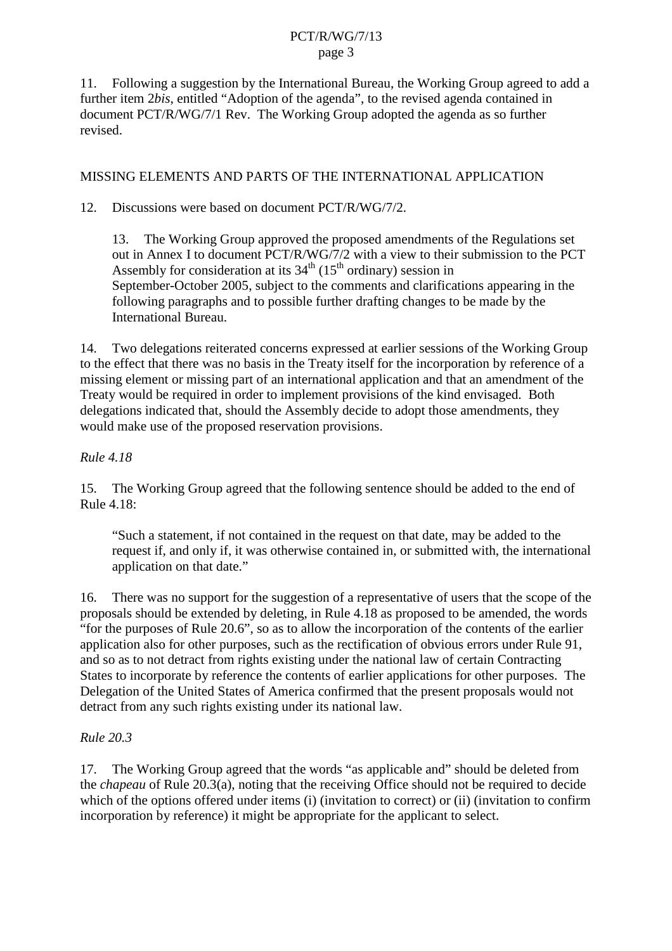11. Following a suggestion by the International Bureau, the Working Group agreed to add a further item 2*bis*, entitled "Adoption of the agenda", to the revised agenda contained in document PCT/R/WG/7/1 Rev. The Working Group adopted the agenda as so further revised.

# MISSING ELEMENTS AND PARTS OF THE INTERNATIONAL APPLICATION

12. Discussions were based on document PCT/R/WG/7/2.

13. The Working Group approved the proposed amendments of the Regulations set out in Annex I to document PCT/R/WG/7/2 with a view to their submission to the PCT Assembly for consideration at its  $34<sup>th</sup> (15<sup>th</sup> \text{ ordinary})$  session in September-October 2005, subject to the comments and clarifications appearing in the following paragraphs and to possible further drafting changes to be made by the International Bureau.

14. Two delegations reiterated concerns expressed at earlier sessions of the Working Group to the effect that there was no basis in the Treaty itself for the incorporation by reference of a missing element or missing part of an international application and that an amendment of the Treaty would be required in order to implement provisions of the kind envisaged. Both delegations indicated that, should the Assembly decide to adopt those amendments, they would make use of the proposed reservation provisions.

# *Rule 4.18*

15. The Working Group agreed that the following sentence should be added to the end of Rule 4.18:

"Such a statement, if not contained in the request on that date, may be added to the request if, and only if, it was otherwise contained in, or submitted with, the international application on that date."

16. There was no support for the suggestion of a representative of users that the scope of the proposals should be extended by deleting, in Rule 4.18 as proposed to be amended, the words "for the purposes of Rule 20.6", so as to allow the incorporation of the contents of the earlier application also for other purposes, such as the rectification of obvious errors under Rule 91, and so as to not detract from rights existing under the national law of certain Contracting States to incorporate by reference the contents of earlier applications for other purposes. The Delegation of the United States of America confirmed that the present proposals would not detract from any such rights existing under its national law.

# *Rule 20.3*

17. The Working Group agreed that the words "as applicable and" should be deleted from the *chapeau* of Rule 20.3(a), noting that the receiving Office should not be required to decide which of the options offered under items (i) (invitation to correct) or (ii) (invitation to confirm incorporation by reference) it might be appropriate for the applicant to select.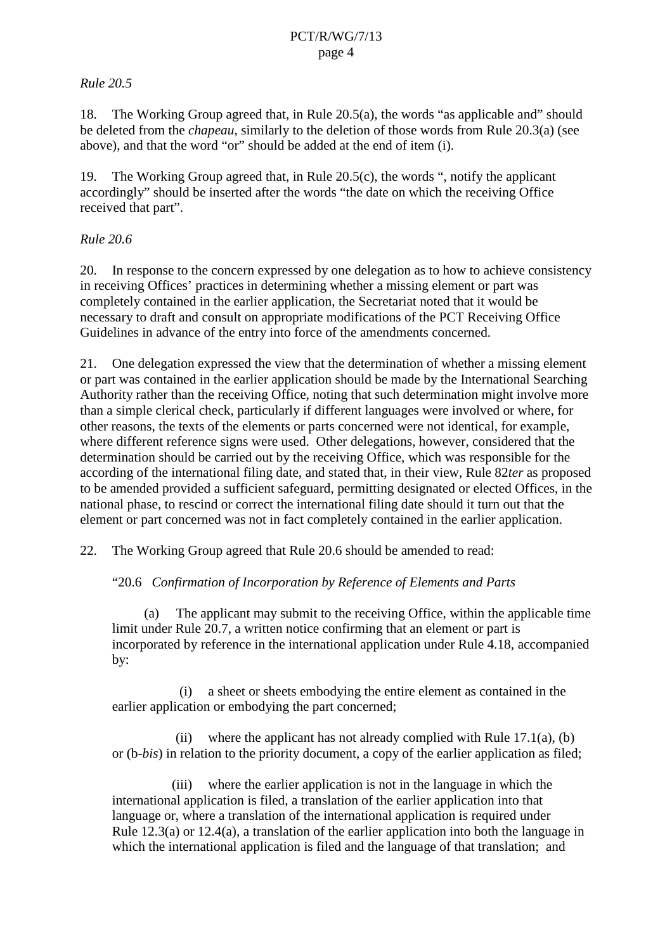# *Rule 20.5*

18. The Working Group agreed that, in Rule 20.5(a), the words "as applicable and" should be deleted from the *chapeau*, similarly to the deletion of those words from Rule 20.3(a) (see above), and that the word "or" should be added at the end of item (i).

19. The Working Group agreed that, in Rule 20.5(c), the words ", notify the applicant accordingly" should be inserted after the words "the date on which the receiving Office received that part".

# *Rule 20.6*

20. In response to the concern expressed by one delegation as to how to achieve consistency in receiving Offices' practices in determining whether a missing element or part was completely contained in the earlier application, the Secretariat noted that it would be necessary to draft and consult on appropriate modifications of the PCT Receiving Office Guidelines in advance of the entry into force of the amendments concerned.

21. One delegation expressed the view that the determination of whether a missing element or part was contained in the earlier application should be made by the International Searching Authority rather than the receiving Office, noting that such determination might involve more than a simple clerical check, particularly if different languages were involved or where, for other reasons, the texts of the elements or parts concerned were not identical, for example, where different reference signs were used. Other delegations, however, considered that the determination should be carried out by the receiving Office, which was responsible for the according of the international filing date, and stated that, in their view, Rule 82*ter* as proposed to be amended provided a sufficient safeguard, permitting designated or elected Offices, in the national phase, to rescind or correct the international filing date should it turn out that the element or part concerned was not in fact completely contained in the earlier application.

22. The Working Group agreed that Rule 20.6 should be amended to read:

# "20.6 *Confirmation of Incorporation by Reference of Elements and Parts*

(a) The applicant may submit to the receiving Office, within the applicable time limit under Rule 20.7, a written notice confirming that an element or part is incorporated by reference in the international application under Rule 4.18, accompanied by:

(i) a sheet or sheets embodying the entire element as contained in the earlier application or embodying the part concerned;

(ii) where the applicant has not already complied with Rule  $17.1(a)$ , (b) or (b-*bis*) in relation to the priority document, a copy of the earlier application as filed;

(iii) where the earlier application is not in the language in which the international application is filed, a translation of the earlier application into that language or, where a translation of the international application is required under Rule 12.3(a) or 12.4(a), a translation of the earlier application into both the language in which the international application is filed and the language of that translation; and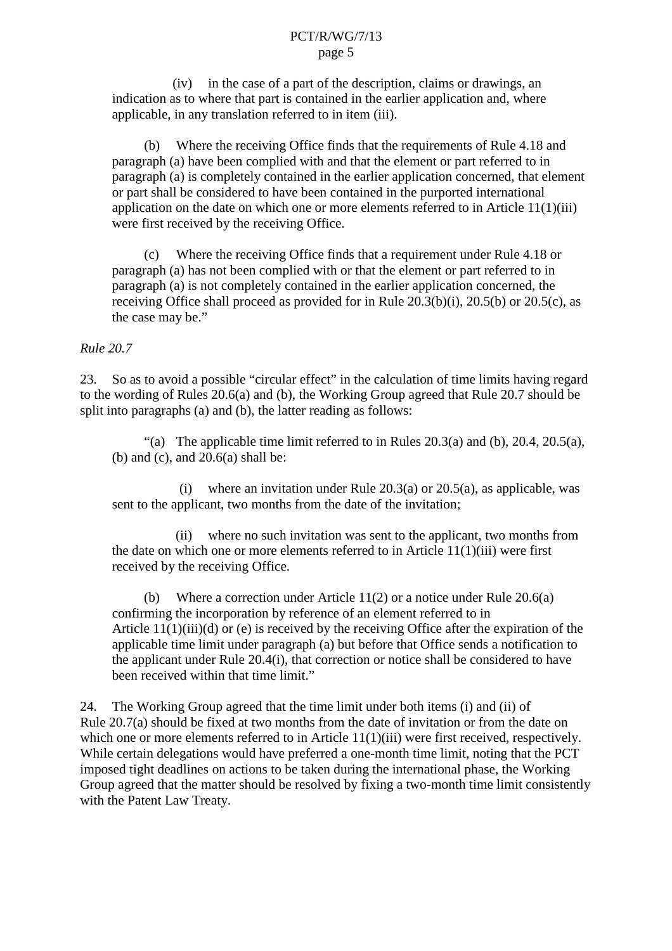(iv) in the case of a part of the description, claims or drawings, an indication as to where that part is contained in the earlier application and, where applicable, in any translation referred to in item (iii).

(b) Where the receiving Office finds that the requirements of Rule 4.18 and paragraph (a) have been complied with and that the element or part referred to in paragraph (a) is completely contained in the earlier application concerned, that element or part shall be considered to have been contained in the purported international application on the date on which one or more elements referred to in Article 11(1)(iii) were first received by the receiving Office.

(c) Where the receiving Office finds that a requirement under Rule 4.18 or paragraph (a) has not been complied with or that the element or part referred to in paragraph (a) is not completely contained in the earlier application concerned, the receiving Office shall proceed as provided for in Rule 20.3(b)(i), 20.5(b) or 20.5(c), as the case may be."

#### *Rule 20.7*

23. So as to avoid a possible "circular effect" in the calculation of time limits having regard to the wording of Rules 20.6(a) and (b), the Working Group agreed that Rule 20.7 should be split into paragraphs (a) and (b), the latter reading as follows:

"(a) The applicable time limit referred to in Rules  $20.3(a)$  and (b),  $20.4$ ,  $20.5(a)$ , (b) and (c), and  $20.6(a)$  shall be:

(i) where an invitation under Rule  $20.3(a)$  or  $20.5(a)$ , as applicable, was sent to the applicant, two months from the date of the invitation;

(ii) where no such invitation was sent to the applicant, two months from the date on which one or more elements referred to in Article 11(1)(iii) were first received by the receiving Office.

(b) Where a correction under Article 11(2) or a notice under Rule 20.6(a) confirming the incorporation by reference of an element referred to in Article 11(1)(iii)(d) or (e) is received by the receiving Office after the expiration of the applicable time limit under paragraph (a) but before that Office sends a notification to the applicant under Rule 20.4(i), that correction or notice shall be considered to have been received within that time limit."

24. The Working Group agreed that the time limit under both items (i) and (ii) of Rule 20.7(a) should be fixed at two months from the date of invitation or from the date on which one or more elements referred to in Article 11(1)(iii) were first received, respectively. While certain delegations would have preferred a one-month time limit, noting that the PCT imposed tight deadlines on actions to be taken during the international phase, the Working Group agreed that the matter should be resolved by fixing a two-month time limit consistently with the Patent Law Treaty.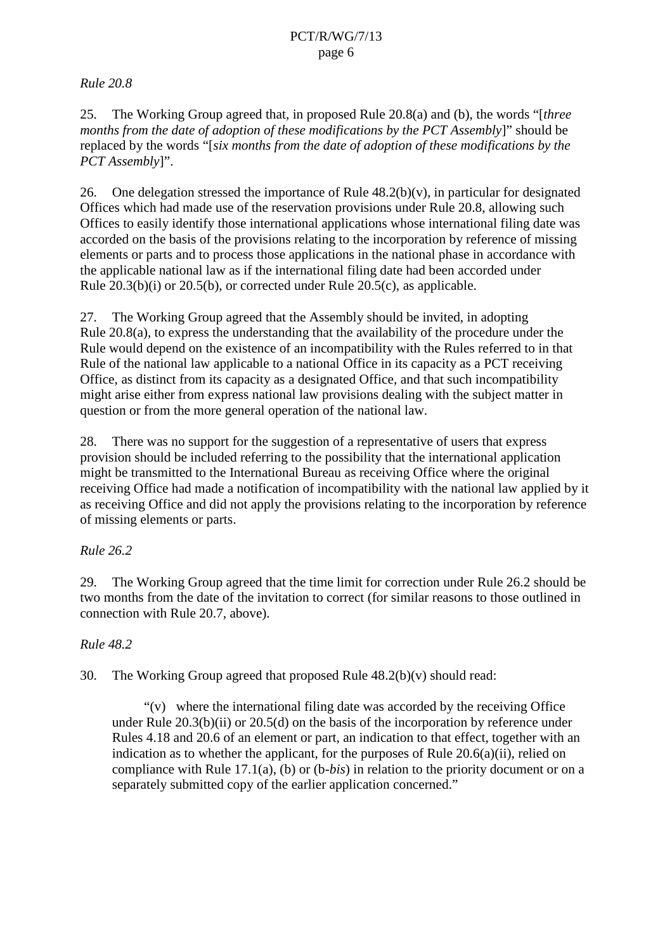*Rule 20.8*

25. The Working Group agreed that, in proposed Rule 20.8(a) and (b), the words "[*three months from the date of adoption of these modifications by the PCT Assembly*]" should be replaced by the words "[*six months from the date of adoption of these modifications by the PCT Assembly*]".

26. One delegation stressed the importance of Rule 48.2(b)(v), in particular for designated Offices which had made use of the reservation provisions under Rule 20.8, allowing such Offices to easily identify those international applications whose international filing date was accorded on the basis of the provisions relating to the incorporation by reference of missing elements or parts and to process those applications in the national phase in accordance with the applicable national law as if the international filing date had been accorded under Rule 20.3(b)(i) or 20.5(b), or corrected under Rule 20.5(c), as applicable.

27. The Working Group agreed that the Assembly should be invited, in adopting Rule 20.8(a), to express the understanding that the availability of the procedure under the Rule would depend on the existence of an incompatibility with the Rules referred to in that Rule of the national law applicable to a national Office in its capacity as a PCT receiving Office, as distinct from its capacity as a designated Office, and that such incompatibility might arise either from express national law provisions dealing with the subject matter in question or from the more general operation of the national law.

28. There was no support for the suggestion of a representative of users that express provision should be included referring to the possibility that the international application might be transmitted to the International Bureau as receiving Office where the original receiving Office had made a notification of incompatibility with the national law applied by it as receiving Office and did not apply the provisions relating to the incorporation by reference of missing elements or parts.

# *Rule 26.2*

29. The Working Group agreed that the time limit for correction under Rule 26.2 should be two months from the date of the invitation to correct (for similar reasons to those outlined in connection with Rule 20.7, above).

# *Rule 48.2*

30. The Working Group agreed that proposed Rule  $48.2(b)(v)$  should read:

"(v) where the international filing date was accorded by the receiving Office under Rule  $20.3(b)(ii)$  or  $20.5(d)$  on the basis of the incorporation by reference under Rules 4.18 and 20.6 of an element or part, an indication to that effect, together with an indication as to whether the applicant, for the purposes of Rule 20.6(a)(ii), relied on compliance with Rule 17.1(a), (b) or (b-*bis*) in relation to the priority document or on a separately submitted copy of the earlier application concerned."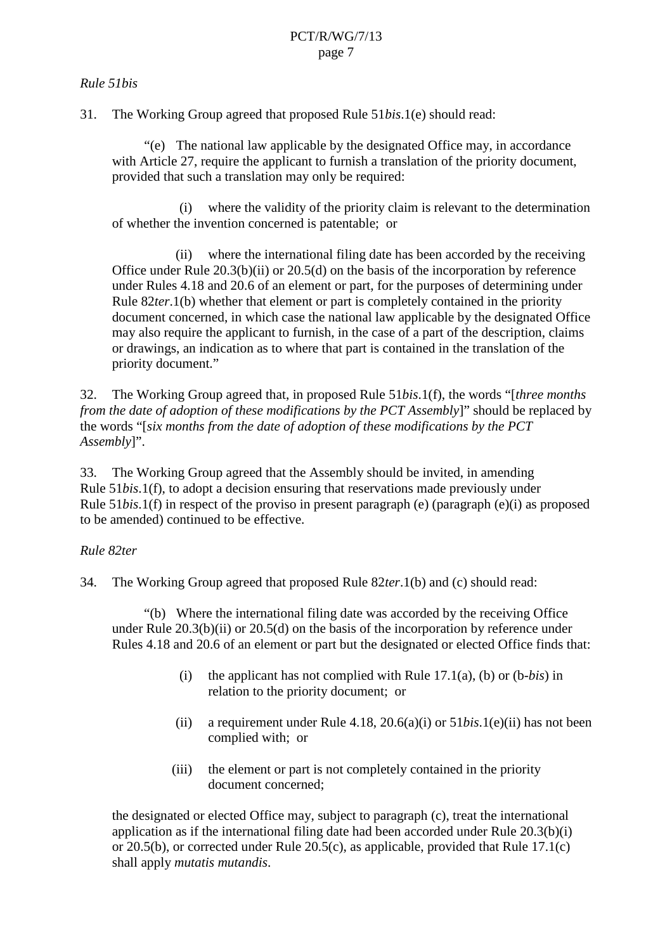#### *Rule 51bis*

31. The Working Group agreed that proposed Rule 51*bis*.1(e) should read:

"(e) The national law applicable by the designated Office may, in accordance with Article 27, require the applicant to furnish a translation of the priority document, provided that such a translation may only be required:

(i) where the validity of the priority claim is relevant to the determination of whether the invention concerned is patentable; or

(ii) where the international filing date has been accorded by the receiving Office under Rule 20.3(b)(ii) or 20.5(d) on the basis of the incorporation by reference under Rules 4.18 and 20.6 of an element or part, for the purposes of determining under Rule 82*ter*.1(b) whether that element or part is completely contained in the priority document concerned, in which case the national law applicable by the designated Office may also require the applicant to furnish, in the case of a part of the description, claims or drawings, an indication as to where that part is contained in the translation of the priority document."

32. The Working Group agreed that, in proposed Rule 51*bis*.1(f), the words "[*three months from the date of adoption of these modifications by the PCT Assembly*]" should be replaced by the words "[*six months from the date of adoption of these modifications by the PCT Assembly*]".

33. The Working Group agreed that the Assembly should be invited, in amending Rule 51*bis*.1(f), to adopt a decision ensuring that reservations made previously under Rule 51*bis*.1(f) in respect of the proviso in present paragraph (e) (paragraph (e)(i) as proposed to be amended) continued to be effective.

# *Rule 82ter*

34. The Working Group agreed that proposed Rule 82*ter*.1(b) and (c) should read:

"(b) Where the international filing date was accorded by the receiving Office under Rule  $20.3(b)(ii)$  or  $20.5(d)$  on the basis of the incorporation by reference under Rules 4.18 and 20.6 of an element or part but the designated or elected Office finds that:

- (i) the applicant has not complied with Rule 17.1(a), (b) or (b-*bis*) in relation to the priority document; or
- (ii) a requirement under Rule 4.18, 20.6(a)(i) or 51*bis*.1(e)(ii) has not been complied with; or
- (iii) the element or part is not completely contained in the priority document concerned;

the designated or elected Office may, subject to paragraph (c), treat the international application as if the international filing date had been accorded under Rule 20.3(b)(i) or 20.5(b), or corrected under Rule 20.5(c), as applicable, provided that Rule 17.1(c) shall apply *mutatis mutandis*.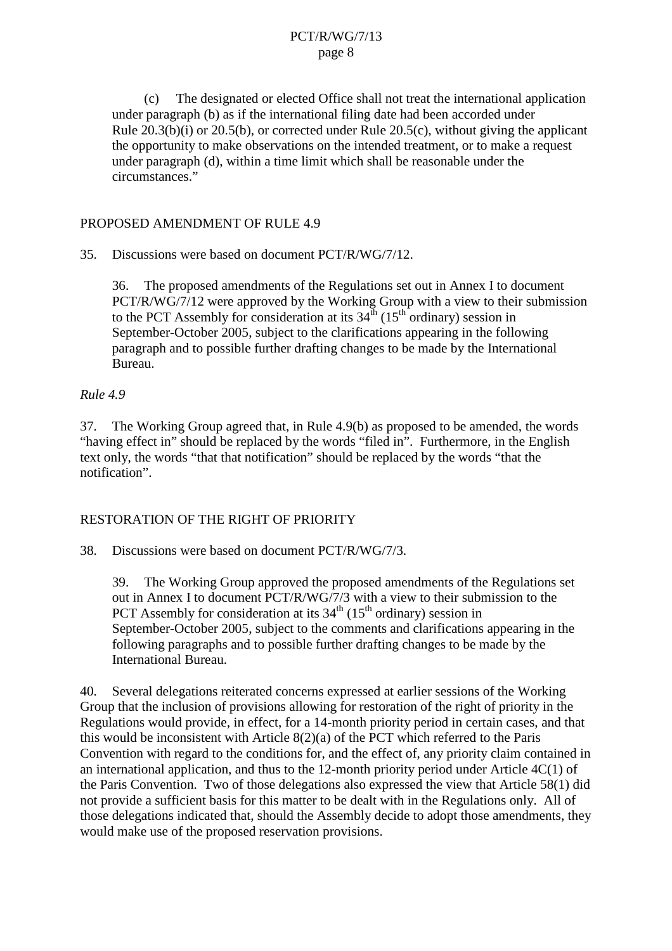(c) The designated or elected Office shall not treat the international application under paragraph (b) as if the international filing date had been accorded under Rule 20.3(b)(i) or 20.5(b), or corrected under Rule 20.5(c), without giving the applicant the opportunity to make observations on the intended treatment, or to make a request under paragraph (d), within a time limit which shall be reasonable under the circumstances."

#### PROPOSED AMENDMENT OF RULE 4.9

35. Discussions were based on document PCT/R/WG/7/12.

36. The proposed amendments of the Regulations set out in Annex I to document PCT/R/WG/7/12 were approved by the Working Group with a view to their submission to the PCT Assembly for consideration at its  $34^{\text{th}}$  (15<sup>th</sup> ordinary) session in September-October 2005, subject to the clarifications appearing in the following paragraph and to possible further drafting changes to be made by the International Bureau.

#### *Rule 4.9*

37. The Working Group agreed that, in Rule 4.9(b) as proposed to be amended, the words "having effect in" should be replaced by the words "filed in". Furthermore, in the English text only, the words "that that notification" should be replaced by the words "that the notification".

#### RESTORATION OF THE RIGHT OF PRIORITY

38. Discussions were based on document PCT/R/WG/7/3.

39. The Working Group approved the proposed amendments of the Regulations set out in Annex I to document PCT/R/WG/7/3 with a view to their submission to the PCT Assembly for consideration at its  $34<sup>th</sup> (15<sup>th</sup> \text{ ordinary})$  session in September-October 2005, subject to the comments and clarifications appearing in the following paragraphs and to possible further drafting changes to be made by the International Bureau.

40. Several delegations reiterated concerns expressed at earlier sessions of the Working Group that the inclusion of provisions allowing for restoration of the right of priority in the Regulations would provide, in effect, for a 14-month priority period in certain cases, and that this would be inconsistent with Article 8(2)(a) of the PCT which referred to the Paris Convention with regard to the conditions for, and the effect of, any priority claim contained in an international application, and thus to the 12-month priority period under Article 4C(1) of the Paris Convention. Two of those delegations also expressed the view that Article 58(1) did not provide a sufficient basis for this matter to be dealt with in the Regulations only. All of those delegations indicated that, should the Assembly decide to adopt those amendments, they would make use of the proposed reservation provisions.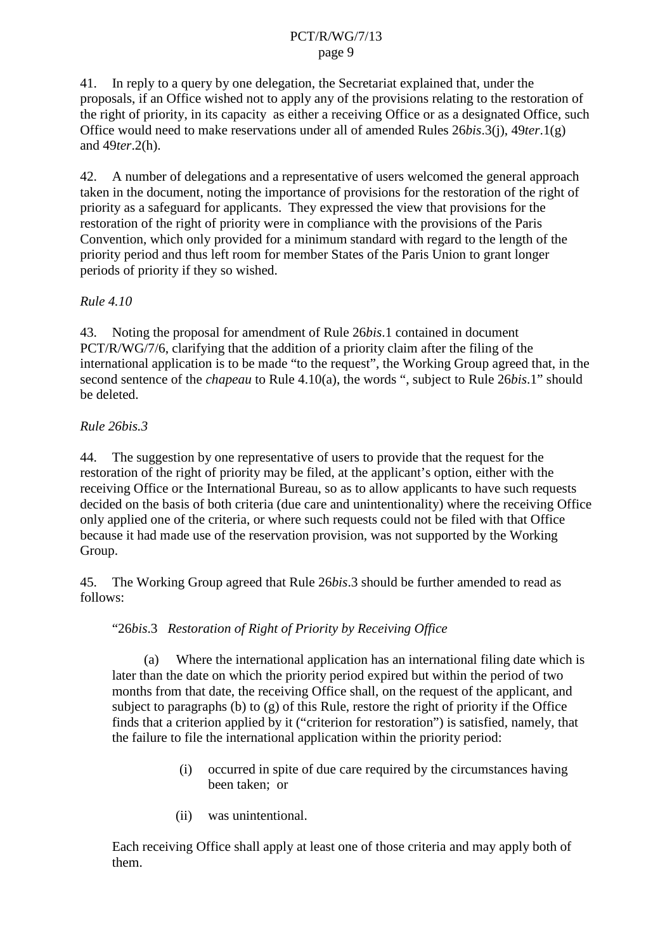41. In reply to a query by one delegation, the Secretariat explained that, under the proposals, if an Office wished not to apply any of the provisions relating to the restoration of the right of priority, in its capacity as either a receiving Office or as a designated Office, such Office would need to make reservations under all of amended Rules 26*bis*.3(j), 49*ter*.1(g) and 49*ter*.2(h).

42. A number of delegations and a representative of users welcomed the general approach taken in the document, noting the importance of provisions for the restoration of the right of priority as a safeguard for applicants. They expressed the view that provisions for the restoration of the right of priority were in compliance with the provisions of the Paris Convention, which only provided for a minimum standard with regard to the length of the priority period and thus left room for member States of the Paris Union to grant longer periods of priority if they so wished.

# *Rule 4.10*

43. Noting the proposal for amendment of Rule 26*bis*.1 contained in document PCT/R/WG/7/6, clarifying that the addition of a priority claim after the filing of the international application is to be made "to the request", the Working Group agreed that, in the second sentence of the *chapeau* to Rule 4.10(a), the words ", subject to Rule 26*bis*.1" should be deleted.

# *Rule 26bis.3*

44. The suggestion by one representative of users to provide that the request for the restoration of the right of priority may be filed, at the applicant's option, either with the receiving Office or the International Bureau, so as to allow applicants to have such requests decided on the basis of both criteria (due care and unintentionality) where the receiving Office only applied one of the criteria, or where such requests could not be filed with that Office because it had made use of the reservation provision, was not supported by the Working Group.

45. The Working Group agreed that Rule 26*bis*.3 should be further amended to read as follows:

# "26*bis*.3 *Restoration of Right of Priority by Receiving Office*

(a) Where the international application has an international filing date which is later than the date on which the priority period expired but within the period of two months from that date, the receiving Office shall, on the request of the applicant, and subject to paragraphs (b) to (g) of this Rule, restore the right of priority if the Office finds that a criterion applied by it ("criterion for restoration") is satisfied, namely, that the failure to file the international application within the priority period:

- (i) occurred in spite of due care required by the circumstances having been taken; or
- (ii) was unintentional.

Each receiving Office shall apply at least one of those criteria and may apply both of them.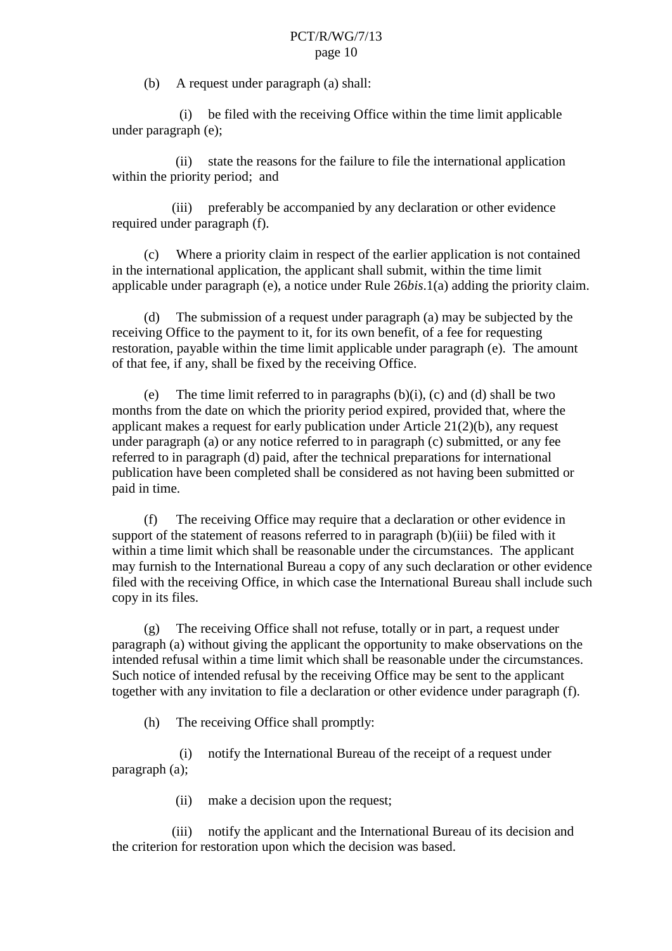(b) A request under paragraph (a) shall:

(i) be filed with the receiving Office within the time limit applicable under paragraph (e);

(ii) state the reasons for the failure to file the international application within the priority period; and

(iii) preferably be accompanied by any declaration or other evidence required under paragraph (f).

(c) Where a priority claim in respect of the earlier application is not contained in the international application, the applicant shall submit, within the time limit applicable under paragraph (e), a notice under Rule 26*bis*.1(a) adding the priority claim.

(d) The submission of a request under paragraph (a) may be subjected by the receiving Office to the payment to it, for its own benefit, of a fee for requesting restoration, payable within the time limit applicable under paragraph (e). The amount of that fee, if any, shall be fixed by the receiving Office.

(e) The time limit referred to in paragraphs  $(b)(i)$ , (c) and (d) shall be two months from the date on which the priority period expired, provided that, where the applicant makes a request for early publication under Article 21(2)(b), any request under paragraph (a) or any notice referred to in paragraph (c) submitted, or any fee referred to in paragraph (d) paid, after the technical preparations for international publication have been completed shall be considered as not having been submitted or paid in time.

(f) The receiving Office may require that a declaration or other evidence in support of the statement of reasons referred to in paragraph (b)(iii) be filed with it within a time limit which shall be reasonable under the circumstances. The applicant may furnish to the International Bureau a copy of any such declaration or other evidence filed with the receiving Office, in which case the International Bureau shall include such copy in its files.

(g) The receiving Office shall not refuse, totally or in part, a request under paragraph (a) without giving the applicant the opportunity to make observations on the intended refusal within a time limit which shall be reasonable under the circumstances. Such notice of intended refusal by the receiving Office may be sent to the applicant together with any invitation to file a declaration or other evidence under paragraph (f).

(h) The receiving Office shall promptly:

(i) notify the International Bureau of the receipt of a request under paragraph (a);

(ii) make a decision upon the request;

(iii) notify the applicant and the International Bureau of its decision and the criterion for restoration upon which the decision was based.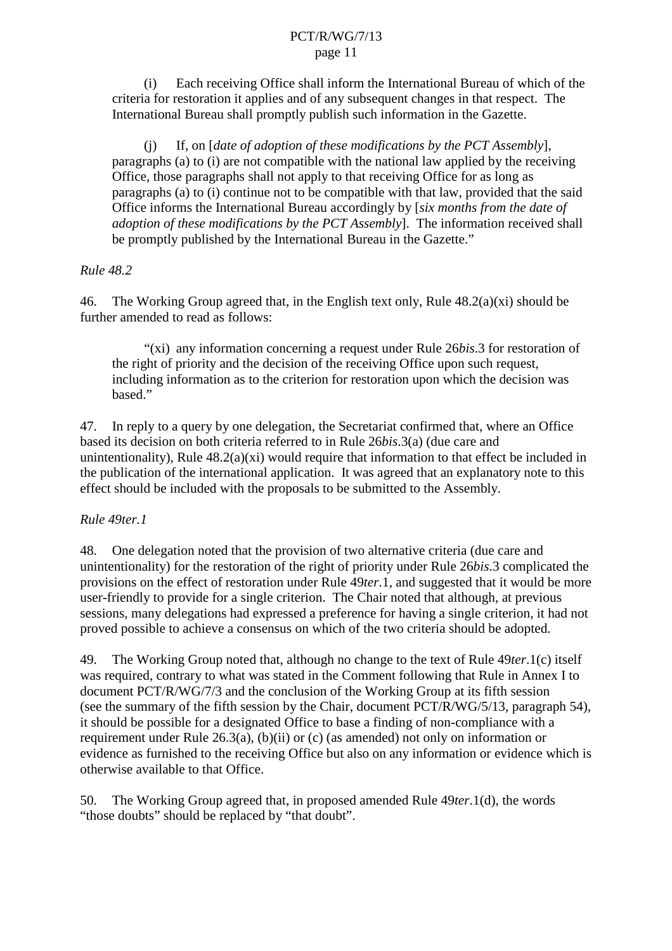(i) Each receiving Office shall inform the International Bureau of which of the criteria for restoration it applies and of any subsequent changes in that respect. The International Bureau shall promptly publish such information in the Gazette.

(j) If, on [*date of adoption of these modifications by the PCT Assembly*], paragraphs (a) to (i) are not compatible with the national law applied by the receiving Office, those paragraphs shall not apply to that receiving Office for as long as paragraphs (a) to (i) continue not to be compatible with that law, provided that the said Office informs the International Bureau accordingly by [*six months from the date of adoption of these modifications by the PCT Assembly*]. The information received shall be promptly published by the International Bureau in the Gazette."

#### *Rule 48.2*

46. The Working Group agreed that, in the English text only, Rule 48.2(a)(xi) should be further amended to read as follows:

"(xi) any information concerning a request under Rule 26*bis*.3 for restoration of the right of priority and the decision of the receiving Office upon such request, including information as to the criterion for restoration upon which the decision was based."

47. In reply to a query by one delegation, the Secretariat confirmed that, where an Office based its decision on both criteria referred to in Rule 26*bis*.3(a) (due care and unintentionality), Rule 48.2(a)(xi) would require that information to that effect be included in the publication of the international application. It was agreed that an explanatory note to this effect should be included with the proposals to be submitted to the Assembly.

# *Rule 49ter.1*

48. One delegation noted that the provision of two alternative criteria (due care and unintentionality) for the restoration of the right of priority under Rule 26*bis*.3 complicated the provisions on the effect of restoration under Rule 49*ter*.1, and suggested that it would be more user-friendly to provide for a single criterion. The Chair noted that although, at previous sessions, many delegations had expressed a preference for having a single criterion, it had not proved possible to achieve a consensus on which of the two criteria should be adopted.

49. The Working Group noted that, although no change to the text of Rule 49*ter*.1(c) itself was required, contrary to what was stated in the Comment following that Rule in Annex I to document PCT/R/WG/7/3 and the conclusion of the Working Group at its fifth session (see the summary of the fifth session by the Chair, document PCT/R/WG/5/13, paragraph 54), it should be possible for a designated Office to base a finding of non-compliance with a requirement under Rule 26.3(a), (b)(ii) or (c) (as amended) not only on information or evidence as furnished to the receiving Office but also on any information or evidence which is otherwise available to that Office.

50. The Working Group agreed that, in proposed amended Rule 49*ter*.1(d), the words "those doubts" should be replaced by "that doubt".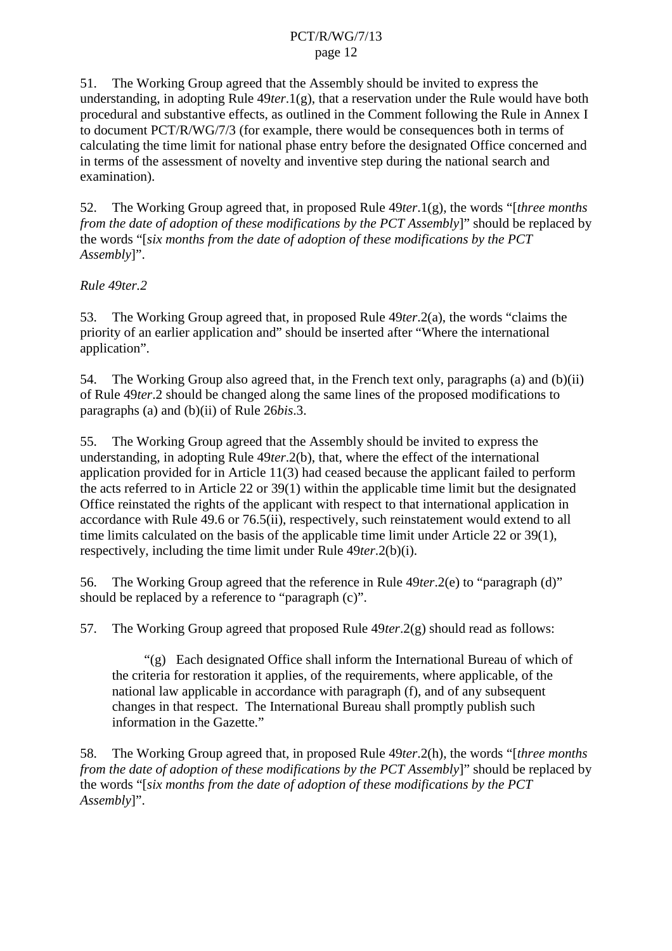51. The Working Group agreed that the Assembly should be invited to express the understanding, in adopting Rule 49*ter*.1(g), that a reservation under the Rule would have both procedural and substantive effects, as outlined in the Comment following the Rule in Annex I to document PCT/R/WG/7/3 (for example, there would be consequences both in terms of calculating the time limit for national phase entry before the designated Office concerned and in terms of the assessment of novelty and inventive step during the national search and examination).

52. The Working Group agreed that, in proposed Rule 49*ter*.1(g), the words "[*three months from the date of adoption of these modifications by the PCT Assembly*]" should be replaced by the words "[*six months from the date of adoption of these modifications by the PCT Assembly*]".

*Rule 49ter.2*

53. The Working Group agreed that, in proposed Rule 49*ter*.2(a), the words "claims the priority of an earlier application and" should be inserted after "Where the international application".

54. The Working Group also agreed that, in the French text only, paragraphs (a) and (b)(ii) of Rule 49*ter*.2 should be changed along the same lines of the proposed modifications to paragraphs (a) and (b)(ii) of Rule 26*bis*.3.

55. The Working Group agreed that the Assembly should be invited to express the understanding, in adopting Rule 49*ter*.2(b), that, where the effect of the international application provided for in Article 11(3) had ceased because the applicant failed to perform the acts referred to in Article 22 or 39(1) within the applicable time limit but the designated Office reinstated the rights of the applicant with respect to that international application in accordance with Rule 49.6 or 76.5(ii), respectively, such reinstatement would extend to all time limits calculated on the basis of the applicable time limit under Article 22 or 39(1), respectively, including the time limit under Rule 49*ter*.2(b)(i).

56. The Working Group agreed that the reference in Rule 49*ter*.2(e) to "paragraph (d)" should be replaced by a reference to "paragraph (c)".

57. The Working Group agreed that proposed Rule 49*ter*.2(g) should read as follows:

"(g) Each designated Office shall inform the International Bureau of which of the criteria for restoration it applies, of the requirements, where applicable, of the national law applicable in accordance with paragraph (f), and of any subsequent changes in that respect. The International Bureau shall promptly publish such information in the Gazette."

58. The Working Group agreed that, in proposed Rule 49*ter*.2(h), the words "[*three months from the date of adoption of these modifications by the PCT Assembly*]" should be replaced by the words "[*six months from the date of adoption of these modifications by the PCT Assembly*]".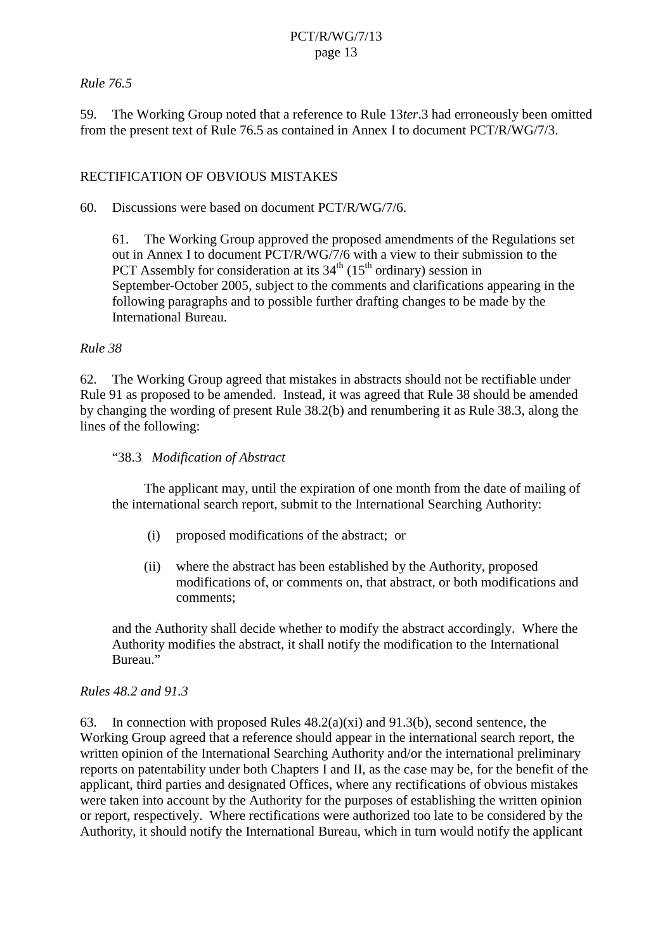#### *Rule 76.5*

59. The Working Group noted that a reference to Rule 13*ter*.3 had erroneously been omitted from the present text of Rule 76.5 as contained in Annex I to document PCT/R/WG/7/3.

### RECTIFICATION OF OBVIOUS MISTAKES

60. Discussions were based on document PCT/R/WG/7/6.

61. The Working Group approved the proposed amendments of the Regulations set out in Annex I to document PCT/R/WG/7/6 with a view to their submission to the PCT Assembly for consideration at its  $34<sup>th</sup> (15<sup>th</sup> \text{ ordinary})$  session in September-October 2005, subject to the comments and clarifications appearing in the following paragraphs and to possible further drafting changes to be made by the International Bureau.

#### *Rule 38*

62. The Working Group agreed that mistakes in abstracts should not be rectifiable under Rule 91 as proposed to be amended. Instead, it was agreed that Rule 38 should be amended by changing the wording of present Rule 38.2(b) and renumbering it as Rule 38.3, along the lines of the following:

#### "38.3 *Modification of Abstract*

The applicant may, until the expiration of one month from the date of mailing of the international search report, submit to the International Searching Authority:

- (i) proposed modifications of the abstract; or
- (ii) where the abstract has been established by the Authority, proposed modifications of, or comments on, that abstract, or both modifications and comments;

and the Authority shall decide whether to modify the abstract accordingly. Where the Authority modifies the abstract, it shall notify the modification to the International Bureau."

#### *Rules 48.2 and 91.3*

63. In connection with proposed Rules 48.2(a)(xi) and 91.3(b), second sentence, the Working Group agreed that a reference should appear in the international search report, the written opinion of the International Searching Authority and/or the international preliminary reports on patentability under both Chapters I and II, as the case may be, for the benefit of the applicant, third parties and designated Offices, where any rectifications of obvious mistakes were taken into account by the Authority for the purposes of establishing the written opinion or report, respectively. Where rectifications were authorized too late to be considered by the Authority, it should notify the International Bureau, which in turn would notify the applicant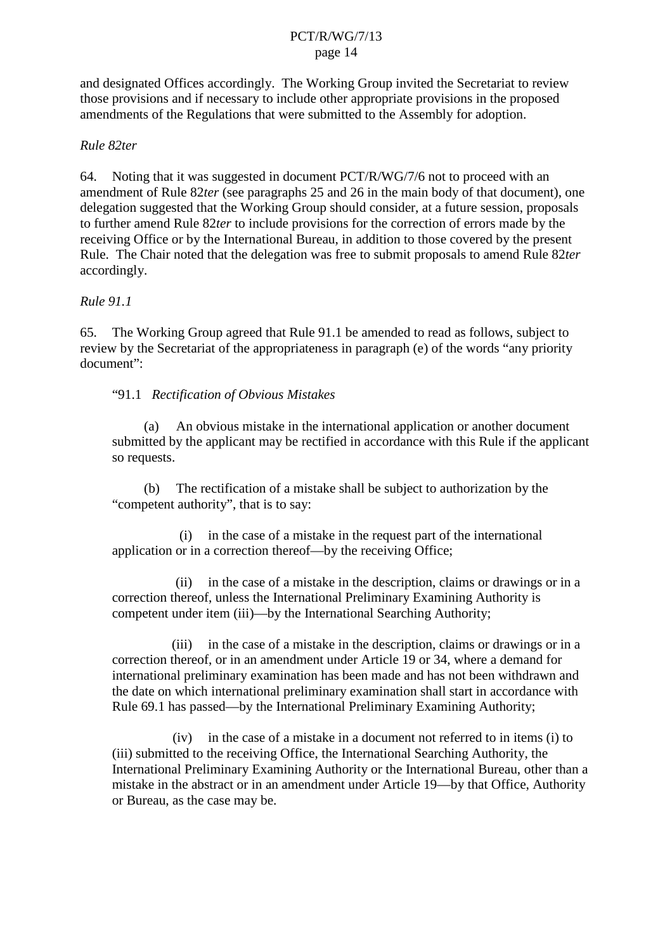and designated Offices accordingly. The Working Group invited the Secretariat to review those provisions and if necessary to include other appropriate provisions in the proposed amendments of the Regulations that were submitted to the Assembly for adoption.

#### *Rule 82ter*

64. Noting that it was suggested in document  $PCT/R/WG/7/6$  not to proceed with an amendment of Rule 82*ter* (see paragraphs 25 and 26 in the main body of that document), one delegation suggested that the Working Group should consider, at a future session, proposals to further amend Rule 82*ter* to include provisions for the correction of errors made by the receiving Office or by the International Bureau, in addition to those covered by the present Rule. The Chair noted that the delegation was free to submit proposals to amend Rule 82*ter* accordingly.

#### *Rule 91.1*

65. The Working Group agreed that Rule 91.1 be amended to read as follows, subject to review by the Secretariat of the appropriateness in paragraph (e) of the words "any priority document":

#### "91.1 *Rectification of Obvious Mistakes*

(a) An obvious mistake in the international application or another document submitted by the applicant may be rectified in accordance with this Rule if the applicant so requests.

(b) The rectification of a mistake shall be subject to authorization by the "competent authority", that is to say:

(i) in the case of a mistake in the request part of the international application or in a correction thereof—by the receiving Office;

(ii) in the case of a mistake in the description, claims or drawings or in a correction thereof, unless the International Preliminary Examining Authority is competent under item (iii)—by the International Searching Authority;

(iii) in the case of a mistake in the description, claims or drawings or in a correction thereof, or in an amendment under Article 19 or 34, where a demand for international preliminary examination has been made and has not been withdrawn and the date on which international preliminary examination shall start in accordance with Rule 69.1 has passed—by the International Preliminary Examining Authority;

(iv) in the case of a mistake in a document not referred to in items (i) to (iii) submitted to the receiving Office, the International Searching Authority, the International Preliminary Examining Authority or the International Bureau, other than a mistake in the abstract or in an amendment under Article 19—by that Office, Authority or Bureau, as the case may be.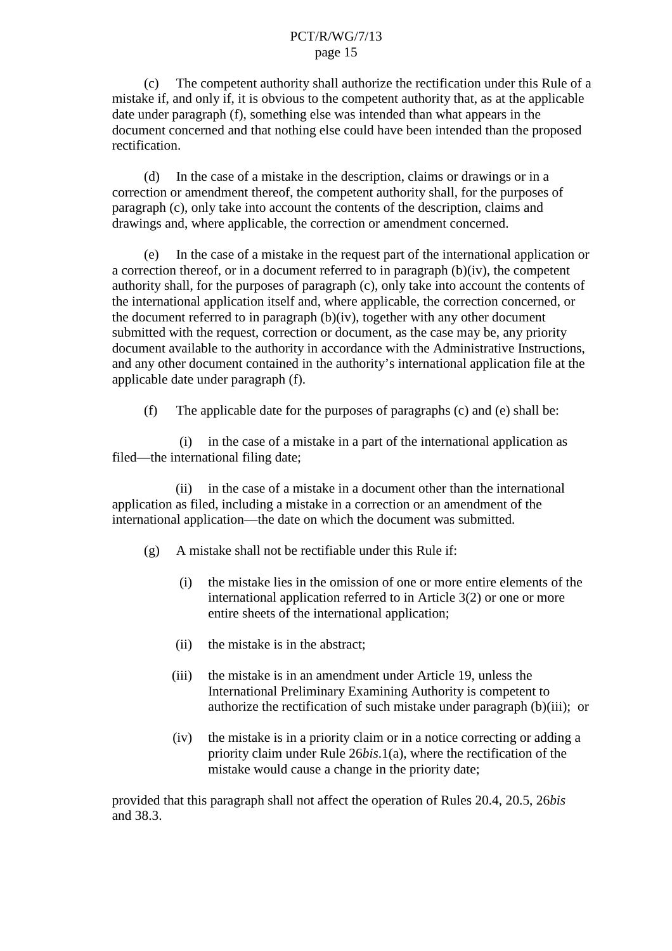(c) The competent authority shall authorize the rectification under this Rule of a mistake if, and only if, it is obvious to the competent authority that, as at the applicable date under paragraph (f), something else was intended than what appears in the document concerned and that nothing else could have been intended than the proposed rectification.

(d) In the case of a mistake in the description, claims or drawings or in a correction or amendment thereof, the competent authority shall, for the purposes of paragraph (c), only take into account the contents of the description, claims and drawings and, where applicable, the correction or amendment concerned.

(e) In the case of a mistake in the request part of the international application or a correction thereof, or in a document referred to in paragraph  $(b)(iv)$ , the competent authority shall, for the purposes of paragraph (c), only take into account the contents of the international application itself and, where applicable, the correction concerned, or the document referred to in paragraph (b)(iv), together with any other document submitted with the request, correction or document, as the case may be, any priority document available to the authority in accordance with the Administrative Instructions, and any other document contained in the authority's international application file at the applicable date under paragraph (f).

(f) The applicable date for the purposes of paragraphs (c) and (e) shall be:

(i) in the case of a mistake in a part of the international application as filed—the international filing date;

(ii) in the case of a mistake in a document other than the international application as filed, including a mistake in a correction or an amendment of the international application—the date on which the document was submitted.

- (g) A mistake shall not be rectifiable under this Rule if:
	- (i) the mistake lies in the omission of one or more entire elements of the international application referred to in Article 3(2) or one or more entire sheets of the international application;
	- (ii) the mistake is in the abstract;
	- (iii) the mistake is in an amendment under Article 19, unless the International Preliminary Examining Authority is competent to authorize the rectification of such mistake under paragraph (b)(iii); or
	- (iv) the mistake is in a priority claim or in a notice correcting or adding a priority claim under Rule 26*bis*.1(a), where the rectification of the mistake would cause a change in the priority date;

provided that this paragraph shall not affect the operation of Rules 20.4, 20.5, 26*bis* and 38.3.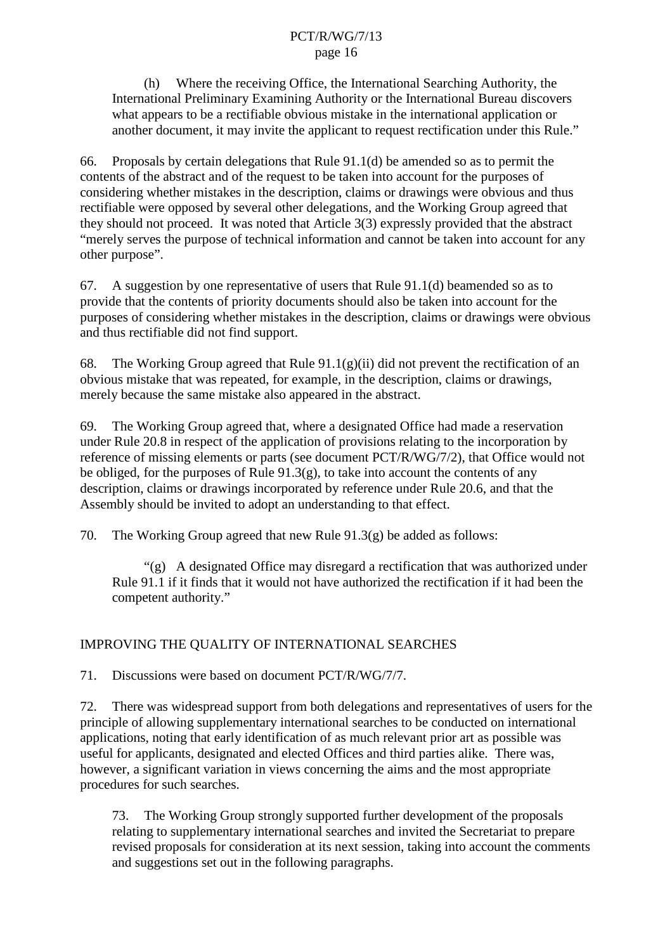<span id="page-15-0"></span>(h) Where the receiving Office, the International Searching Authority, the International Preliminary Examining Authority or the International Bureau discovers what appears to be a rectifiable obvious mistake in the international application or another document, it may invite the applicant to request rectification under this Rule."

66. Proposals by certain delegations that Rule 91.1(d) be amended so as to permit the contents of the abstract and of the request to be taken into account for the purposes of considering whether mistakes in the description, claims or drawings were obvious and thus rectifiable were opposed by several other delegations, and the Working Group agreed that they should not proceed. It was noted that Article 3(3) expressly provided that the abstract "merely serves the purpose of technical information and cannot be taken into account for any other purpose".

67. A suggestion by one representative of users that Rule  $91.1(d)$  beamended so as to provide that the contents of priority documents should also be taken into account for the purposes of considering whether mistakes in the description, claims or drawings were obvious and thus rectifiable did not find support.

68. The Working Group agreed that Rule  $91.1(g)(ii)$  did not prevent the rectification of an obvious mistake that was repeated, for example, in the description, claims or drawings, merely because the same mistake also appeared in the abstract.

69. The Working Group agreed that, where a designated Office had made a reservation under Rule 20.8 in respect of the application of provisions relating to the incorporation by reference of missing elements or parts (see document PCT/R/WG/7/2), that Office would not be obliged, for the purposes of Rule 91.3(g), to take into account the contents of any description, claims or drawings incorporated by reference under Rule 20.6, and that the Assembly should be invited to adopt an understanding to that effect.

70. The Working Group agreed that new Rule 91.3(g) be added as follows:

"(g) A designated Office may disregard a rectification that was authorized under Rule 91.1 if it finds that it would not have authorized the rectification if it had been the competent authority."

# IMPROVING THE QUALITY OF INTERNATIONAL SEARCHES

71. Discussions were based on document PCT/R/WG/7/7.

72. There was widespread support from both delegations and representatives of users for the principle of allowing supplementary international searches to be conducted on international applications, noting that early identification of as much relevant prior art as possible was useful for applicants, designated and elected Offices and third parties alike. There was, however, a significant variation in views concerning the aims and the most appropriate procedures for such searches.

73. The Working Group strongly supported further development of the proposals relating to supplementary international searches and invited the Secretariat to prepare revised proposals for consideration at its next session, taking into account the comments and suggestions set out in the following paragraphs.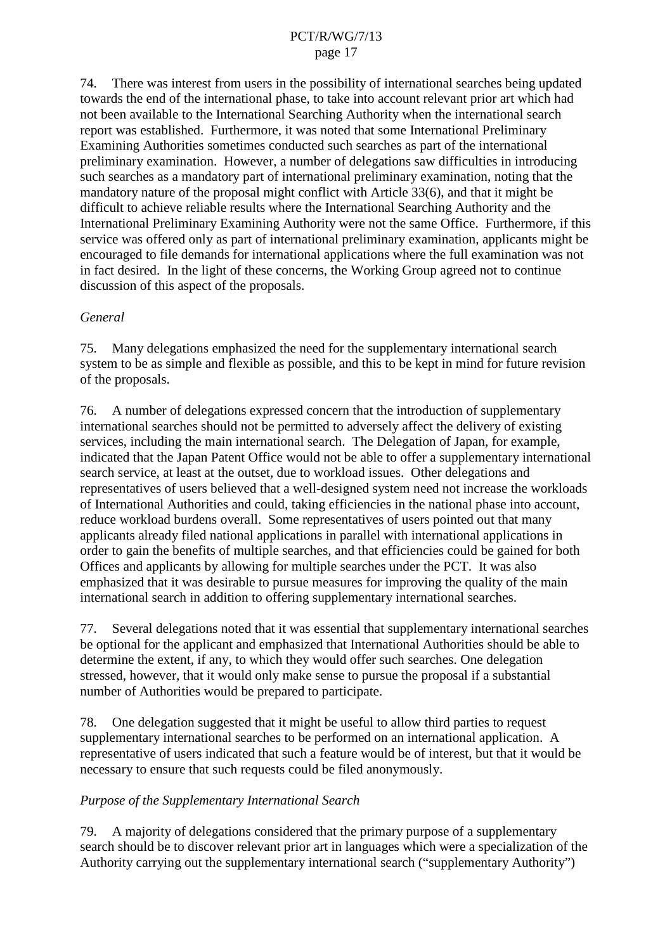74. There was interest from users in the possibility of international searches being updated towards the end of the international phase, to take into account relevant prior art which had not been available to the International Searching Authority when the international search report was established. Furthermore, it was noted that some International Preliminary Examining Authorities sometimes conducted such searches as part of the international preliminary examination. However, a number of delegations saw difficulties in introducing such searches as a mandatory part of international preliminary examination, noting that the mandatory nature of the proposal might conflict with Article 33(6), and that it might be difficult to achieve reliable results where the International Searching Authority and the International Preliminary Examining Authority were not the same Office. Furthermore, if this service was offered only as part of international preliminary examination, applicants might be encouraged to file demands for international applications where the full examination was not in fact desired. In the light of these concerns, the Working Group agreed not to continue discussion of this aspect of the proposals.

#### *General*

75. Many delegations emphasized the need for the supplementary international search system to be as simple and flexible as possible, and this to be kept in mind for future revision of the proposals.

76. A number of delegations expressed concern that the introduction of supplementary international searches should not be permitted to adversely affect the delivery of existing services, including the main international search. The Delegation of Japan, for example, indicated that the Japan Patent Office would not be able to offer a supplementary international search service, at least at the outset, due to workload issues. Other delegations and representatives of users believed that a well-designed system need not increase the workloads of International Authorities and could, taking efficiencies in the national phase into account, reduce workload burdens overall. Some representatives of users pointed out that many applicants already filed national applications in parallel with international applications in order to gain the benefits of multiple searches, and that efficiencies could be gained for both Offices and applicants by allowing for multiple searches under the PCT. It was also emphasized that it was desirable to pursue measures for improving the quality of the main international search in addition to offering supplementary international searches.

77. Several delegations noted that it was essential that supplementary international searches be optional for the applicant and emphasized that International Authorities should be able to determine the extent, if any, to which they would offer such searches. One delegation stressed, however, that it would only make sense to pursue the proposal if a substantial number of Authorities would be prepared to participate.

78. One delegation suggested that it might be useful to allow third parties to request supplementary international searches to be performed on an international application. A representative of users indicated that such a feature would be of interest, but that it would be necessary to ensure that such requests could be filed anonymously.

# *Purpose of the Supplementary International Search*

79. A majority of delegations considered that the primary purpose of a supplementary search should be to discover relevant prior art in languages which were a specialization of the Authority carrying out the supplementary international search ("supplementary Authority")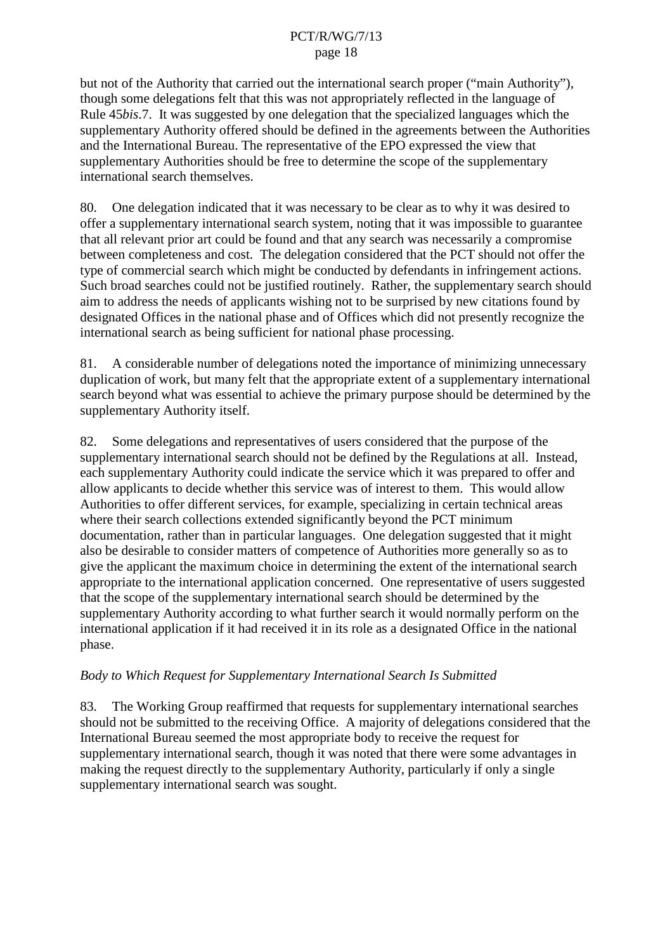but not of the Authority that carried out the international search proper ("main Authority"), though some delegations felt that this was not appropriately reflected in the language of Rule 45*bis*.7. It was suggested by one delegation that the specialized languages which the supplementary Authority offered should be defined in the agreements between the Authorities and the International Bureau. The representative of the EPO expressed the view that supplementary Authorities should be free to determine the scope of the supplementary international search themselves.

80. One delegation indicated that it was necessary to be clear as to why it was desired to offer a supplementary international search system, noting that it was impossible to guarantee that all relevant prior art could be found and that any search was necessarily a compromise between completeness and cost. The delegation considered that the PCT should not offer the type of commercial search which might be conducted by defendants in infringement actions. Such broad searches could not be justified routinely. Rather, the supplementary search should aim to address the needs of applicants wishing not to be surprised by new citations found by designated Offices in the national phase and of Offices which did not presently recognize the international search as being sufficient for national phase processing.

81. A considerable number of delegations noted the importance of minimizing unnecessary duplication of work, but many felt that the appropriate extent of a supplementary international search beyond what was essential to achieve the primary purpose should be determined by the supplementary Authority itself.

82. Some delegations and representatives of users considered that the purpose of the supplementary international search should not be defined by the Regulations at all. Instead, each supplementary Authority could indicate the service which it was prepared to offer and allow applicants to decide whether this service was of interest to them. This would allow Authorities to offer different services, for example, specializing in certain technical areas where their search collections extended significantly beyond the PCT minimum documentation, rather than in particular languages. One delegation suggested that it might also be desirable to consider matters of competence of Authorities more generally so as to give the applicant the maximum choice in determining the extent of the international search appropriate to the international application concerned. One representative of users suggested that the scope of the supplementary international search should be determined by the supplementary Authority according to what further search it would normally perform on the international application if it had received it in its role as a designated Office in the national phase.

# *Body to Which Request for Supplementary International Search Is Submitted*

83. The Working Group reaffirmed that requests for supplementary international searches should not be submitted to the receiving Office. A majority of delegations considered that the International Bureau seemed the most appropriate body to receive the request for supplementary international search, though it was noted that there were some advantages in making the request directly to the supplementary Authority, particularly if only a single supplementary international search was sought.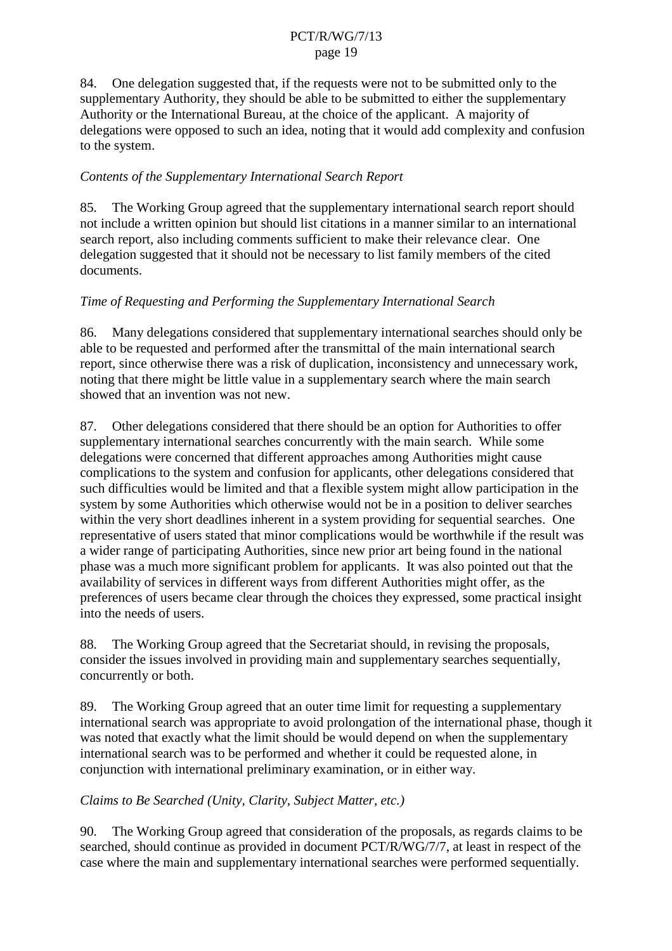84. One delegation suggested that, if the requests were not to be submitted only to the supplementary Authority, they should be able to be submitted to either the supplementary Authority or the International Bureau, at the choice of the applicant. A majority of delegations were opposed to such an idea, noting that it would add complexity and confusion to the system.

# *Contents of the Supplementary International Search Report*

85. The Working Group agreed that the supplementary international search report should not include a written opinion but should list citations in a manner similar to an international search report, also including comments sufficient to make their relevance clear. One delegation suggested that it should not be necessary to list family members of the cited documents.

# *Time of Requesting and Performing the Supplementary International Search*

86. Many delegations considered that supplementary international searches should only be able to be requested and performed after the transmittal of the main international search report, since otherwise there was a risk of duplication, inconsistency and unnecessary work, noting that there might be little value in a supplementary search where the main search showed that an invention was not new.

87. Other delegations considered that there should be an option for Authorities to offer supplementary international searches concurrently with the main search. While some delegations were concerned that different approaches among Authorities might cause complications to the system and confusion for applicants, other delegations considered that such difficulties would be limited and that a flexible system might allow participation in the system by some Authorities which otherwise would not be in a position to deliver searches within the very short deadlines inherent in a system providing for sequential searches. One representative of users stated that minor complications would be worthwhile if the result was a wider range of participating Authorities, since new prior art being found in the national phase was a much more significant problem for applicants. It was also pointed out that the availability of services in different ways from different Authorities might offer, as the preferences of users became clear through the choices they expressed, some practical insight into the needs of users.

88. The Working Group agreed that the Secretariat should, in revising the proposals, consider the issues involved in providing main and supplementary searches sequentially, concurrently or both.

89. The Working Group agreed that an outer time limit for requesting a supplementary international search was appropriate to avoid prolongation of the international phase, though it was noted that exactly what the limit should be would depend on when the supplementary international search was to be performed and whether it could be requested alone, in conjunction with international preliminary examination, or in either way.

# *Claims to Be Searched (Unity, Clarity, Subject Matter, etc.)*

90. The Working Group agreed that consideration of the proposals, as regards claims to be searched, should continue as provided in document PCT/R/WG/7/7, at least in respect of the case where the main and supplementary international searches were performed sequentially.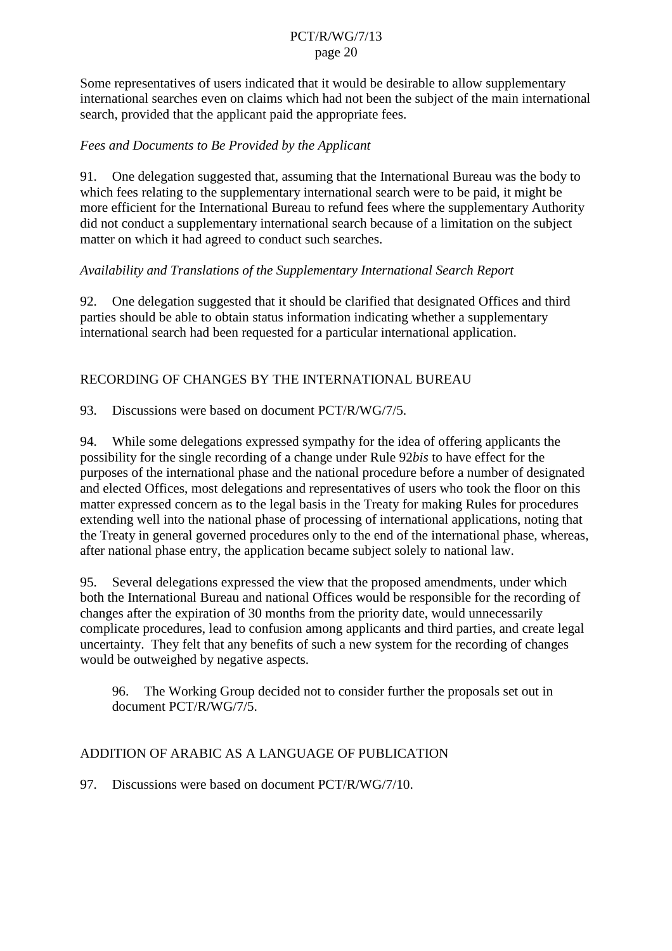<span id="page-19-0"></span>Some representatives of users indicated that it would be desirable to allow supplementary international searches even on claims which had not been the subject of the main international search, provided that the applicant paid the appropriate fees.

# *Fees and Documents to Be Provided by the Applicant*

91. One delegation suggested that, assuming that the International Bureau was the body to which fees relating to the supplementary international search were to be paid, it might be more efficient for the International Bureau to refund fees where the supplementary Authority did not conduct a supplementary international search because of a limitation on the subject matter on which it had agreed to conduct such searches.

# *Availability and Translations of the Supplementary International Search Report*

92. One delegation suggested that it should be clarified that designated Offices and third parties should be able to obtain status information indicating whether a supplementary international search had been requested for a particular international application.

# RECORDING OF CHANGES BY THE INTERNATIONAL BUREAU

93. Discussions were based on document PCT/R/WG/7/5.

94. While some delegations expressed sympathy for the idea of offering applicants the possibility for the single recording of a change under Rule 92*bis* to have effect for the purposes of the international phase and the national procedure before a number of designated and elected Offices, most delegations and representatives of users who took the floor on this matter expressed concern as to the legal basis in the Treaty for making Rules for procedures extending well into the national phase of processing of international applications, noting that the Treaty in general governed procedures only to the end of the international phase, whereas, after national phase entry, the application became subject solely to national law.

95. Several delegations expressed the view that the proposed amendments, under which both the International Bureau and national Offices would be responsible for the recording of changes after the expiration of 30 months from the priority date, would unnecessarily complicate procedures, lead to confusion among applicants and third parties, and create legal uncertainty. They felt that any benefits of such a new system for the recording of changes would be outweighed by negative aspects.

96. The Working Group decided not to consider further the proposals set out in document PCT/R/WG/7/5.

# ADDITION OF ARABIC AS A LANGUAGE OF PUBLICATION

97. Discussions were based on document PCT/R/WG/7/10.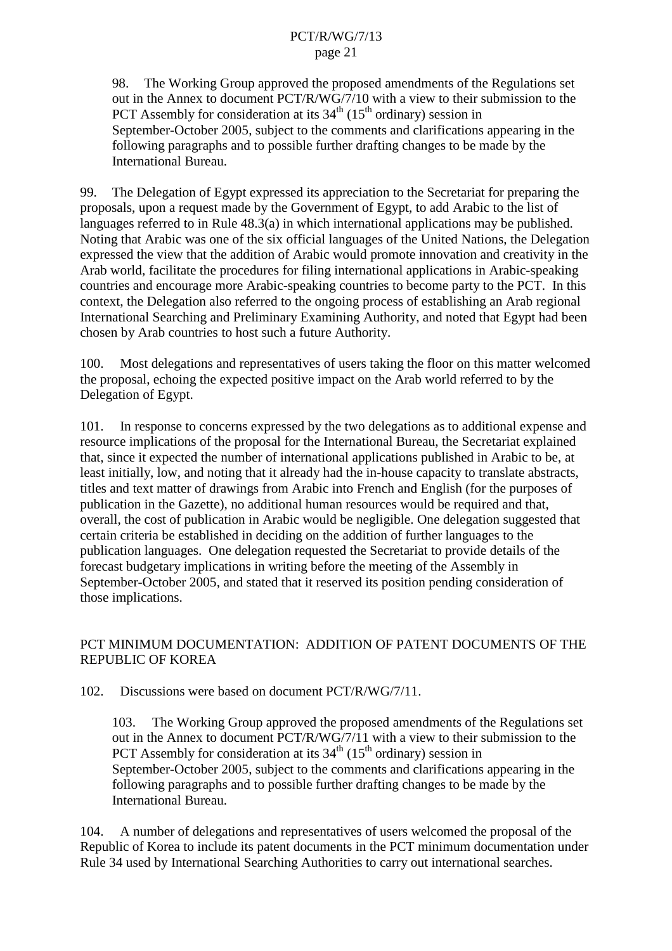98. The Working Group approved the proposed amendments of the Regulations set out in the Annex to document PCT/R/WG/7/10 with a view to their submission to the PCT Assembly for consideration at its  $34<sup>th</sup> (15<sup>th</sup> \text{ ordinary})$  session in September-October 2005, subject to the comments and clarifications appearing in the following paragraphs and to possible further drafting changes to be made by the International Bureau.

99. The Delegation of Egypt expressed its appreciation to the Secretariat for preparing the proposals, upon a request made by the Government of Egypt, to add Arabic to the list of languages referred to in Rule 48.3(a) in which international applications may be published. Noting that Arabic was one of the six official languages of the United Nations, the Delegation expressed the view that the addition of Arabic would promote innovation and creativity in the Arab world, facilitate the procedures for filing international applications in Arabic-speaking countries and encourage more Arabic-speaking countries to become party to the PCT. In this context, the Delegation also referred to the ongoing process of establishing an Arab regional International Searching and Preliminary Examining Authority, and noted that Egypt had been chosen by Arab countries to host such a future Authority.

100. Most delegations and representatives of users taking the floor on this matter welcomed the proposal, echoing the expected positive impact on the Arab world referred to by the Delegation of Egypt.

101. In response to concerns expressed by the two delegations as to additional expense and resource implications of the proposal for the International Bureau, the Secretariat explained that, since it expected the number of international applications published in Arabic to be, at least initially, low, and noting that it already had the in-house capacity to translate abstracts, titles and text matter of drawings from Arabic into French and English (for the purposes of publication in the Gazette), no additional human resources would be required and that, overall, the cost of publication in Arabic would be negligible. One delegation suggested that certain criteria be established in deciding on the addition of further languages to the publication languages. One delegation requested the Secretariat to provide details of the forecast budgetary implications in writing before the meeting of the Assembly in September-October 2005, and stated that it reserved its position pending consideration of those implications.

# PCT MINIMUM DOCUMENTATION: ADDITION OF PATENT DOCUMENTS OF THE REPUBLIC OF KOREA

102. Discussions were based on document PCT/R/WG/7/11.

103. The Working Group approved the proposed amendments of the Regulations set out in the Annex to document PCT/R/WG/7/11 with a view to their submission to the PCT Assembly for consideration at its  $34<sup>th</sup> (15<sup>th</sup> \text{ ordinary})$  session in September-October 2005, subject to the comments and clarifications appearing in the following paragraphs and to possible further drafting changes to be made by the International Bureau.

104. A number of delegations and representatives of users welcomed the proposal of the Republic of Korea to include its patent documents in the PCT minimum documentation under Rule 34 used by International Searching Authorities to carry out international searches.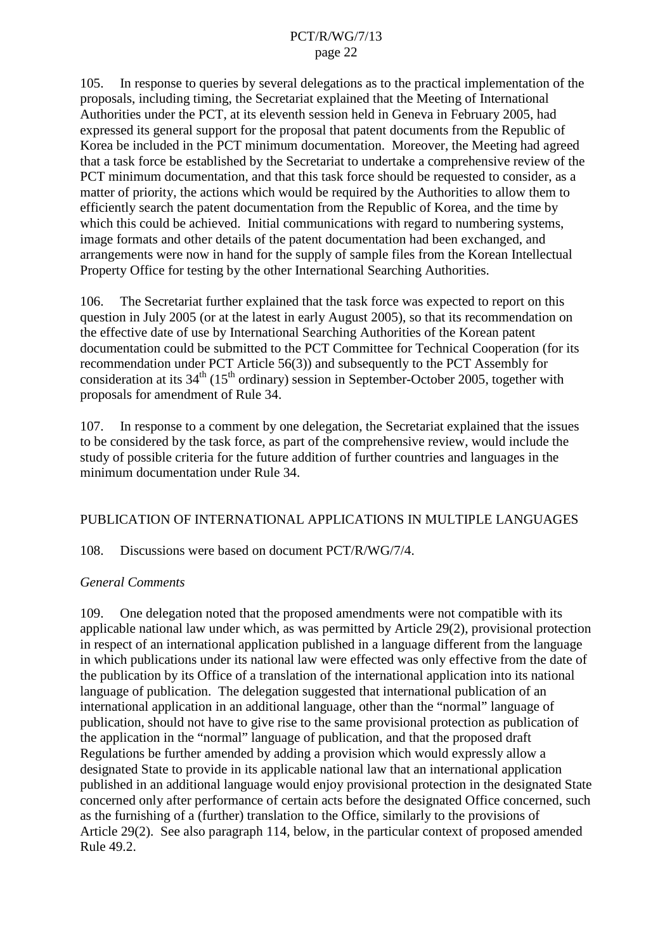<span id="page-21-0"></span>105. In response to queries by several delegations as to the practical implementation of the proposals, including timing, the Secretariat explained that the Meeting of International Authorities under the PCT, at its eleventh session held in Geneva in February 2005, had expressed its general support for the proposal that patent documents from the Republic of Korea be included in the PCT minimum documentation. Moreover, the Meeting had agreed that a task force be established by the Secretariat to undertake a comprehensive review of the PCT minimum documentation, and that this task force should be requested to consider, as a matter of priority, the actions which would be required by the Authorities to allow them to efficiently search the patent documentation from the Republic of Korea, and the time by which this could be achieved. Initial communications with regard to numbering systems, image formats and other details of the patent documentation had been exchanged, and arrangements were now in hand for the supply of sample files from the Korean Intellectual Property Office for testing by the other International Searching Authorities.

106. The Secretariat further explained that the task force was expected to report on this question in July 2005 (or at the latest in early August 2005), so that its recommendation on the effective date of use by International Searching Authorities of the Korean patent documentation could be submitted to the PCT Committee for Technical Cooperation (for its recommendation under PCT Article 56(3)) and subsequently to the PCT Assembly for consideration at its  $34<sup>th</sup> (15<sup>th</sup> ordinary)$  session in September-October 2005, together with proposals for amendment of Rule 34.

107. In response to a comment by one delegation, the Secretariat explained that the issues to be considered by the task force, as part of the comprehensive review, would include the study of possible criteria for the future addition of further countries and languages in the minimum documentation under Rule 34.

# PUBLICATION OF INTERNATIONAL APPLICATIONS IN MULTIPLE LANGUAGES

108. Discussions were based on document PCT/R/WG/7/4.

# *General Comments*

109. One delegation noted that the proposed amendments were not compatible with its applicable national law under which, as was permitted by Article 29(2), provisional protection in respect of an international application published in a language different from the language in which publications under its national law were effected was only effective from the date of the publication by its Office of a translation of the international application into its national language of publication. The delegation suggested that international publication of an international application in an additional language, other than the "normal" language of publication, should not have to give rise to the same provisional protection as publication of the application in the "normal" language of publication, and that the proposed draft Regulations be further amended by adding a provision which would expressly allow a designated State to provide in its applicable national law that an international application published in an additional language would enjoy provisional protection in the designated State concerned only after performance of certain acts before the designated Office concerned, such as the furnishing of a (further) translation to the Office, similarly to the provisions of Article 29(2). See also paragraph [114,](#page-22-0) below, in the particular context of proposed amended Rule 49.2.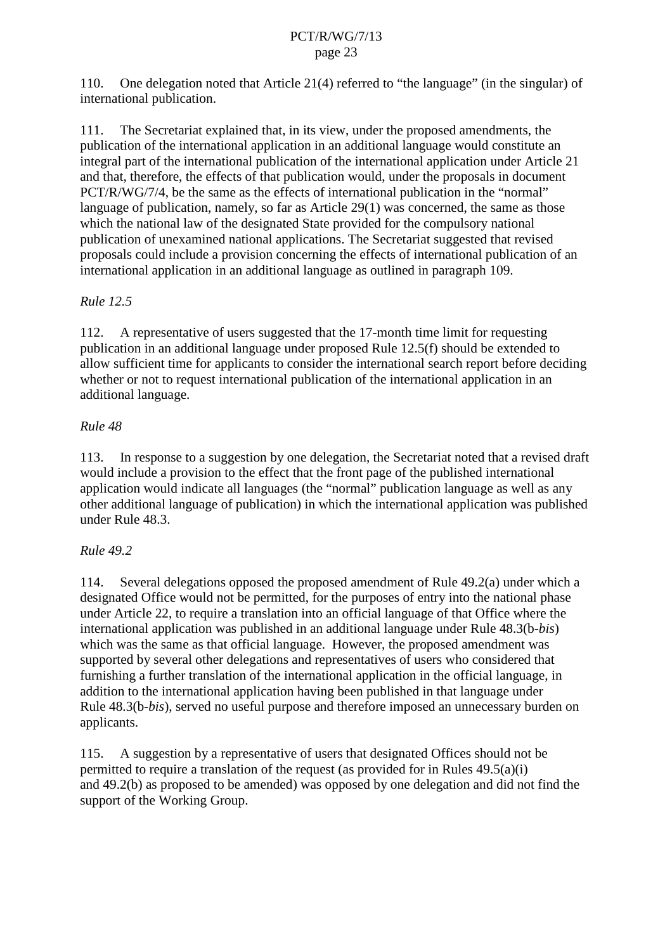<span id="page-22-0"></span>110. One delegation noted that Article 21(4) referred to "the language" (in the singular) of international publication.

111. The Secretariat explained that, in its view, under the proposed amendments, the publication of the international application in an additional language would constitute an integral part of the international publication of the international application under Article 21 and that, therefore, the effects of that publication would, under the proposals in document PCT/R/WG/7/4, be the same as the effects of international publication in the "normal" language of publication, namely, so far as Article 29(1) was concerned, the same as those which the national law of the designated State provided for the compulsory national publication of unexamined national applications. The Secretariat suggested that revised proposals could include a provision concerning the effects of international publication of an international application in an additional language as outlined in paragraph [109.](#page-21-0)

# *Rule 12.5*

112. A representative of users suggested that the 17-month time limit for requesting publication in an additional language under proposed Rule 12.5(f) should be extended to allow sufficient time for applicants to consider the international search report before deciding whether or not to request international publication of the international application in an additional language.

# *Rule 48*

113. In response to a suggestion by one delegation, the Secretariat noted that a revised draft would include a provision to the effect that the front page of the published international application would indicate all languages (the "normal" publication language as well as any other additional language of publication) in which the international application was published under Rule 48.3.

# *Rule 49.2*

114. Several delegations opposed the proposed amendment of Rule 49.2(a) under which a designated Office would not be permitted, for the purposes of entry into the national phase under Article 22, to require a translation into an official language of that Office where the international application was published in an additional language under Rule 48.3(b-*bis*) which was the same as that official language. However, the proposed amendment was supported by several other delegations and representatives of users who considered that furnishing a further translation of the international application in the official language, in addition to the international application having been published in that language under Rule 48.3(b-*bis*), served no useful purpose and therefore imposed an unnecessary burden on applicants.

115. A suggestion by a representative of users that designated Offices should not be permitted to require a translation of the request (as provided for in Rules 49.5(a)(i) and 49.2(b) as proposed to be amended) was opposed by one delegation and did not find the support of the Working Group.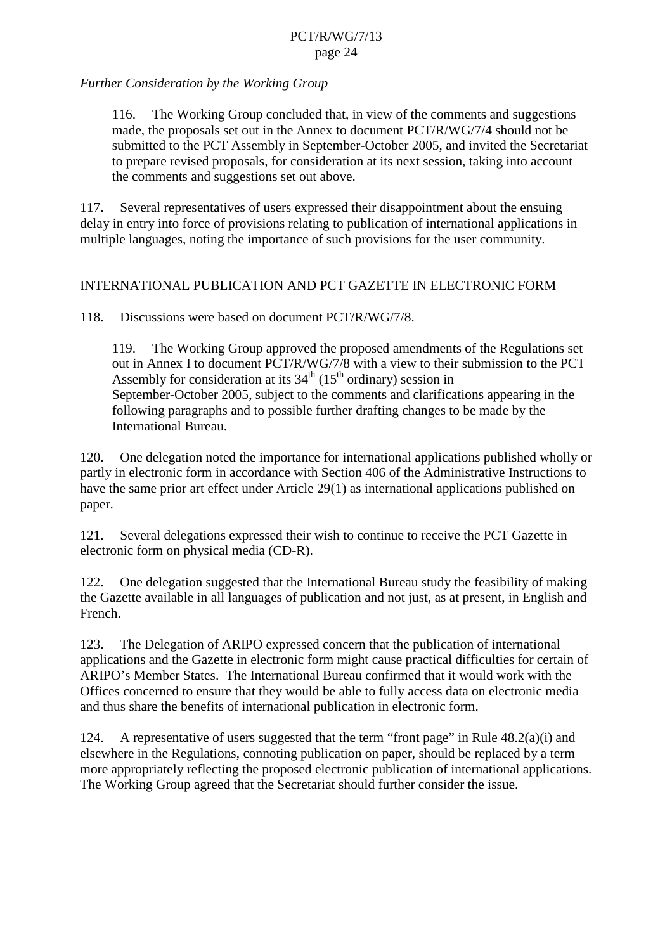<span id="page-23-0"></span>*Further Consideration by the Working Group*

116. The Working Group concluded that, in view of the comments and suggestions made, the proposals set out in the Annex to document PCT/R/WG/7/4 should not be submitted to the PCT Assembly in September-October 2005, and invited the Secretariat to prepare revised proposals, for consideration at its next session, taking into account the comments and suggestions set out above.

117. Several representatives of users expressed their disappointment about the ensuing delay in entry into force of provisions relating to publication of international applications in multiple languages, noting the importance of such provisions for the user community.

# INTERNATIONAL PUBLICATION AND PCT GAZETTE IN ELECTRONIC FORM

118. Discussions were based on document PCT/R/WG/7/8.

119. The Working Group approved the proposed amendments of the Regulations set out in Annex I to document PCT/R/WG/7/8 with a view to their submission to the PCT Assembly for consideration at its  $34<sup>th</sup>$  (15<sup>th</sup> ordinary) session in September-October 2005, subject to the comments and clarifications appearing in the following paragraphs and to possible further drafting changes to be made by the International Bureau.

120. One delegation noted the importance for international applications published wholly or partly in electronic form in accordance with Section 406 of the Administrative Instructions to have the same prior art effect under Article 29(1) as international applications published on paper.

121. Several delegations expressed their wish to continue to receive the PCT Gazette in electronic form on physical media (CD-R).

122. One delegation suggested that the International Bureau study the feasibility of making the Gazette available in all languages of publication and not just, as at present, in English and French.

123. The Delegation of ARIPO expressed concern that the publication of international applications and the Gazette in electronic form might cause practical difficulties for certain of ARIPO's Member States. The International Bureau confirmed that it would work with the Offices concerned to ensure that they would be able to fully access data on electronic media and thus share the benefits of international publication in electronic form.

124. A representative of users suggested that the term "front page" in Rule  $48.2(a)(i)$  and elsewhere in the Regulations, connoting publication on paper, should be replaced by a term more appropriately reflecting the proposed electronic publication of international applications. The Working Group agreed that the Secretariat should further consider the issue.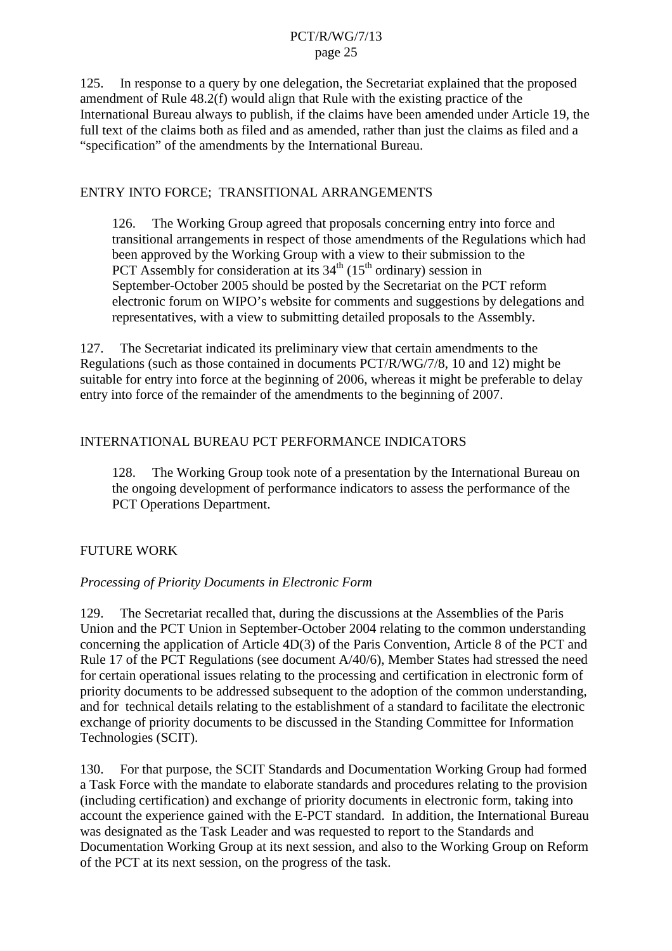125. In response to a query by one delegation, the Secretariat explained that the proposed amendment of Rule 48.2(f) would align that Rule with the existing practice of the International Bureau always to publish, if the claims have been amended under Article 19, the full text of the claims both as filed and as amended, rather than just the claims as filed and a "specification" of the amendments by the International Bureau.

# ENTRY INTO FORCE; TRANSITIONAL ARRANGEMENTS

126. The Working Group agreed that proposals concerning entry into force and transitional arrangements in respect of those amendments of the Regulations which had been approved by the Working Group with a view to their submission to the PCT Assembly for consideration at its  $34<sup>th</sup> (15<sup>th</sup> \text{ ordinary})$  session in September-October 2005 should be posted by the Secretariat on the PCT reform electronic forum on WIPO's website for comments and suggestions by delegations and representatives, with a view to submitting detailed proposals to the Assembly.

127. The Secretariat indicated its preliminary view that certain amendments to the Regulations (such as those contained in documents PCT/R/WG/7/8, 10 and 12) might be suitable for entry into force at the beginning of 2006, whereas it might be preferable to delay entry into force of the remainder of the amendments to the beginning of 2007.

#### INTERNATIONAL BUREAU PCT PERFORMANCE INDICATORS

128. The Working Group took note of a presentation by the International Bureau on the ongoing development of performance indicators to assess the performance of the PCT Operations Department.

# FUTURE WORK

#### *Processing of Priority Documents in Electronic Form*

129. The Secretariat recalled that, during the discussions at the Assemblies of the Paris Union and the PCT Union in September-October 2004 relating to the common understanding concerning the application of Article 4D(3) of the Paris Convention, Article 8 of the PCT and Rule 17 of the PCT Regulations (see document A/40/6), Member States had stressed the need for certain operational issues relating to the processing and certification in electronic form of priority documents to be addressed subsequent to the adoption of the common understanding, and for technical details relating to the establishment of a standard to facilitate the electronic exchange of priority documents to be discussed in the Standing Committee for Information Technologies (SCIT).

130. For that purpose, the SCIT Standards and Documentation Working Group had formed a Task Force with the mandate to elaborate standards and procedures relating to the provision (including certification) and exchange of priority documents in electronic form, taking into account the experience gained with the E-PCT standard. In addition, the International Bureau was designated as the Task Leader and was requested to report to the Standards and Documentation Working Group at its next session, and also to the Working Group on Reform of the PCT at its next session, on the progress of the task.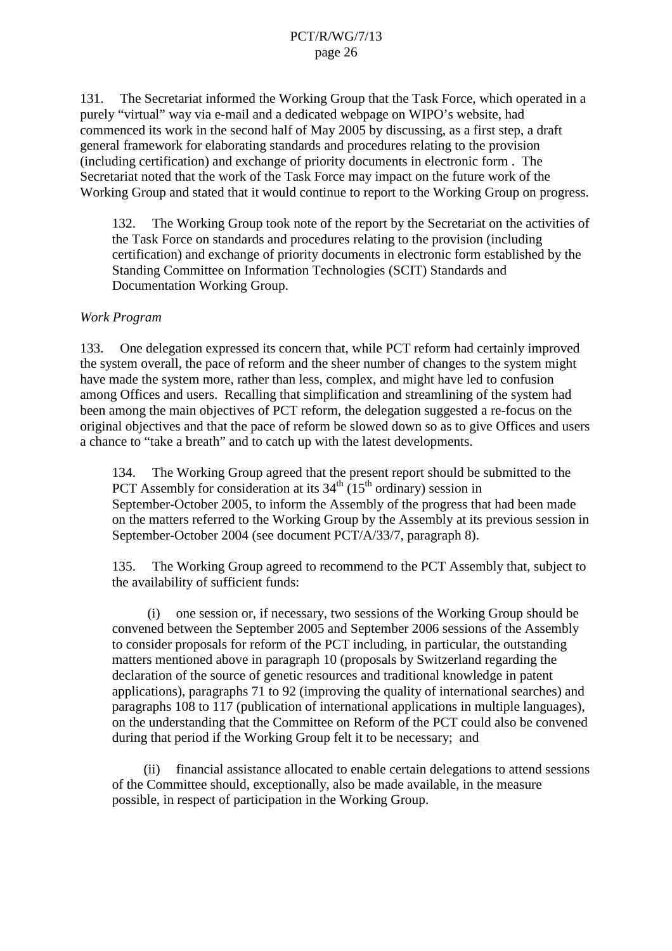131. The Secretariat informed the Working Group that the Task Force, which operated in a purely "virtual" way via e-mail and a dedicated webpage on WIPO's website, had commenced its work in the second half of May 2005 by discussing, as a first step, a draft general framework for elaborating standards and procedures relating to the provision (including certification) and exchange of priority documents in electronic form . The Secretariat noted that the work of the Task Force may impact on the future work of the Working Group and stated that it would continue to report to the Working Group on progress.

132. The Working Group took note of the report by the Secretariat on the activities of the Task Force on standards and procedures relating to the provision (including certification) and exchange of priority documents in electronic form established by the Standing Committee on Information Technologies (SCIT) Standards and Documentation Working Group.

#### *Work Program*

133. One delegation expressed its concern that, while PCT reform had certainly improved the system overall, the pace of reform and the sheer number of changes to the system might have made the system more, rather than less, complex, and might have led to confusion among Offices and users. Recalling that simplification and streamlining of the system had been among the main objectives of PCT reform, the delegation suggested a re-focus on the original objectives and that the pace of reform be slowed down so as to give Offices and users a chance to "take a breath" and to catch up with the latest developments.

134. The Working Group agreed that the present report should be submitted to the PCT Assembly for consideration at its  $34<sup>th</sup> (15<sup>th</sup> \text{ ordinary})$  session in September-October 2005, to inform the Assembly of the progress that had been made on the matters referred to the Working Group by the Assembly at its previous session in September-October 2004 (see document PCT/A/33/7, paragraph 8).

135. The Working Group agreed to recommend to the PCT Assembly that, subject to the availability of sufficient funds:

(i) one session or, if necessary, two sessions of the Working Group should be convened between the September 2005 and September 2006 sessions of the Assembly to consider proposals for reform of the PCT including, in particular, the outstanding matters mentioned above in paragraph [10](#page-1-0) (proposals by Switzerland regarding the declaration of the source of genetic resources and traditional knowledge in patent applications), paragraphs [71](#page-15-0) to [92](#page-19-0) (improving the quality of international searches) and paragraphs [108](#page-21-0) to [117](#page-23-0) (publication of international applications in multiple languages), on the understanding that the Committee on Reform of the PCT could also be convened during that period if the Working Group felt it to be necessary; and

(ii) financial assistance allocated to enable certain delegations to attend sessions of the Committee should, exceptionally, also be made available, in the measure possible, in respect of participation in the Working Group.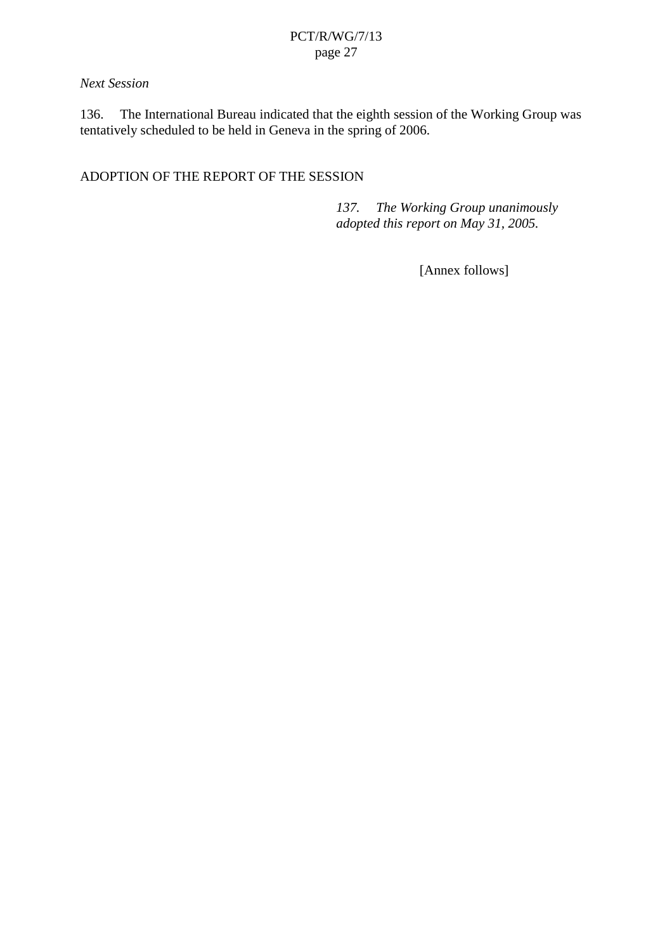### *Next Session*

136. The International Bureau indicated that the eighth session of the Working Group was tentatively scheduled to be held in Geneva in the spring of 2006.

### ADOPTION OF THE REPORT OF THE SESSION

*137. The Working Group unanimously adopted this report on May 31, 2005.*

[Annex follows]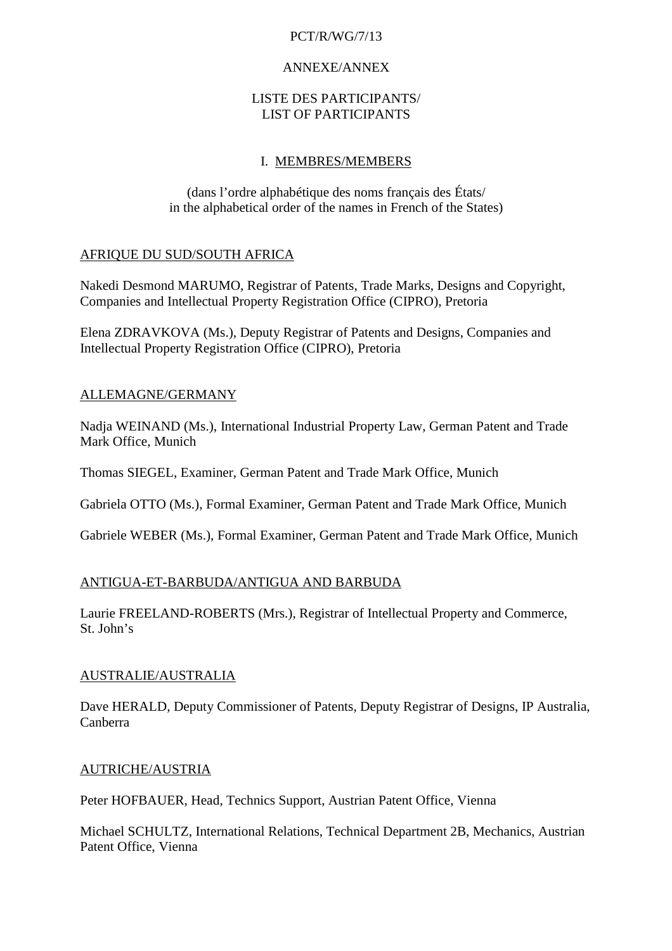#### PCT/R/WG/7/13

# ANNEXE/ANNEX

#### LISTE DES PARTICIPANTS/ LIST OF PARTICIPANTS

# I. MEMBRES/MEMBERS

(dans l'ordre alphabétique des noms français des États/ in the alphabetical order of the names in French of the States)

# AFRIQUE DU SUD/SOUTH AFRICA

Nakedi Desmond MARUMO, Registrar of Patents, Trade Marks, Designs and Copyright, Companies and Intellectual Property Registration Office (CIPRO), Pretoria

Elena ZDRAVKOVA (Ms.), Deputy Registrar of Patents and Designs, Companies and Intellectual Property Registration Office (CIPRO), Pretoria

#### ALLEMAGNE/GERMANY

Nadja WEINAND (Ms.), International Industrial Property Law, German Patent and Trade Mark Office, Munich

Thomas SIEGEL, Examiner, German Patent and Trade Mark Office, Munich

Gabriela OTTO (Ms.), Formal Examiner, German Patent and Trade Mark Office, Munich

Gabriele WEBER (Ms.), Formal Examiner, German Patent and Trade Mark Office, Munich

# ANTIGUA-ET-BARBUDA/ANTIGUA AND BARBUDA

Laurie FREELAND-ROBERTS (Mrs.), Registrar of Intellectual Property and Commerce, St. John's

#### AUSTRALIE/AUSTRALIA

Dave HERALD, Deputy Commissioner of Patents, Deputy Registrar of Designs, IP Australia, Canberra

#### AUTRICHE/AUSTRIA

Peter HOFBAUER, Head, Technics Support, Austrian Patent Office, Vienna

Michael SCHULTZ, International Relations, Technical Department 2B, Mechanics, Austrian Patent Office, Vienna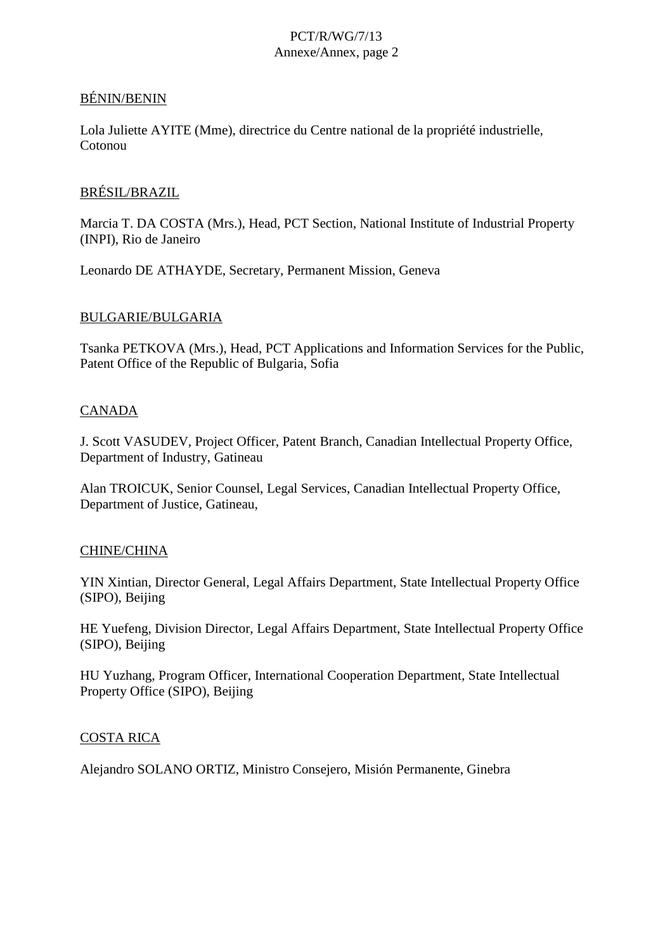# BÉNIN/BENIN

Lola Juliette AYITE (Mme), directrice du Centre national de la propriété industrielle, Cotonou

# BRÉSIL/BRAZIL

Marcia T. DA COSTA (Mrs.), Head, PCT Section, National Institute of Industrial Property (INPI), Rio de Janeiro

Leonardo DE ATHAYDE, Secretary, Permanent Mission, Geneva

# BULGARIE/BULGARIA

Tsanka PETKOVA (Mrs.), Head, PCT Applications and Information Services for the Public, Patent Office of the Republic of Bulgaria, Sofia

# CANADA

J. Scott VASUDEV, Project Officer, Patent Branch, Canadian Intellectual Property Office, Department of Industry, Gatineau

Alan TROICUK, Senior Counsel, Legal Services, Canadian Intellectual Property Office, Department of Justice, Gatineau,

# CHINE/CHINA

YIN Xintian, Director General, Legal Affairs Department, State Intellectual Property Office (SIPO), Beijing

HE Yuefeng, Division Director, Legal Affairs Department, State Intellectual Property Office (SIPO), Beijing

HU Yuzhang, Program Officer, International Cooperation Department, State Intellectual Property Office (SIPO), Beijing

# COSTA RICA

Alejandro SOLANO ORTIZ, Ministro Consejero, Misión Permanente, Ginebra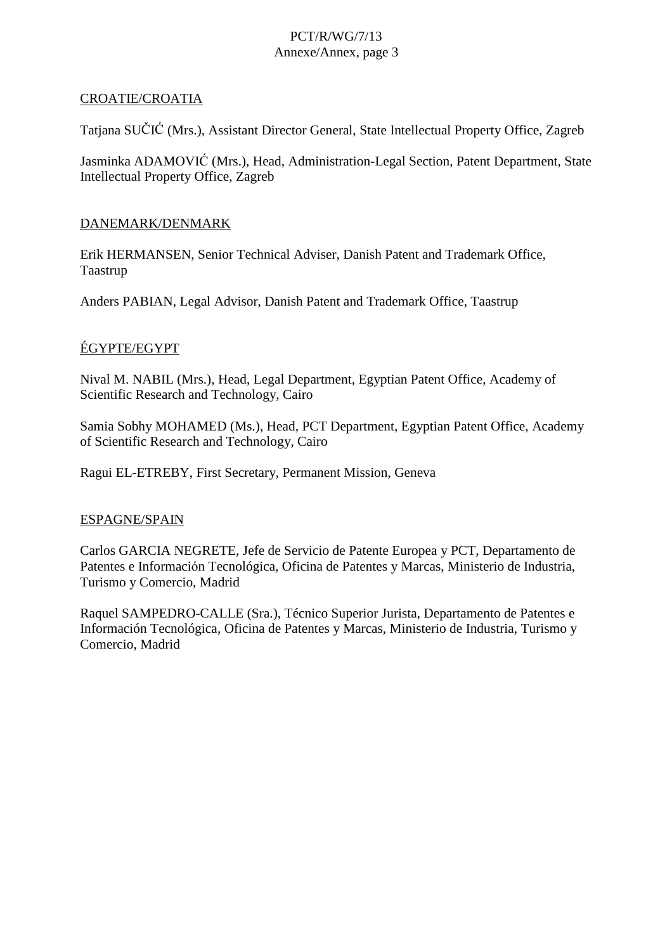#### CROATIE/CROATIA

Tatjana SUČIĆ (Mrs.), Assistant Director General, State Intellectual Property Office, Zagreb

Jasminka ADAMOVIĆ (Mrs.), Head, Administration-Legal Section, Patent Department, State Intellectual Property Office, Zagreb

#### DANEMARK/DENMARK

Erik HERMANSEN, Senior Technical Adviser, Danish Patent and Trademark Office, Taastrup

Anders PABIAN, Legal Advisor, Danish Patent and Trademark Office, Taastrup

# ÉGYPTE/EGYPT

Nival M. NABIL (Mrs.), Head, Legal Department, Egyptian Patent Office, Academy of Scientific Research and Technology, Cairo

Samia Sobhy MOHAMED (Ms.), Head, PCT Department, Egyptian Patent Office, Academy of Scientific Research and Technology, Cairo

Ragui EL-ETREBY, First Secretary, Permanent Mission, Geneva

#### ESPAGNE/SPAIN

Carlos GARCIA NEGRETE, Jefe de Servicio de Patente Europea y PCT, Departamento de Patentes e Información Tecnológica, Oficina de Patentes y Marcas, Ministerio de Industria, Turismo y Comercio, Madrid

Raquel SAMPEDRO-CALLE (Sra.), Técnico Superior Jurista, Departamento de Patentes e Información Tecnológica, Oficina de Patentes y Marcas, Ministerio de Industria, Turismo y Comercio, Madrid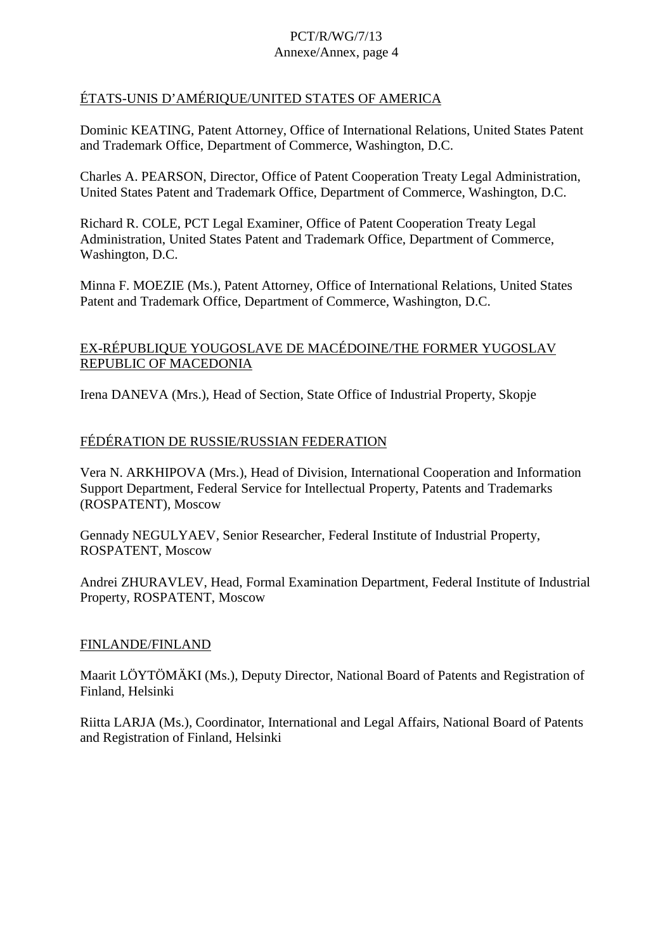# ÉTATS-UNIS D'AMÉRIQUE/UNITED STATES OF AMERICA

Dominic KEATING, Patent Attorney, Office of International Relations, United States Patent and Trademark Office, Department of Commerce, Washington, D.C.

Charles A. PEARSON, Director, Office of Patent Cooperation Treaty Legal Administration, United States Patent and Trademark Office, Department of Commerce, Washington, D.C.

Richard R. COLE, PCT Legal Examiner, Office of Patent Cooperation Treaty Legal Administration, United States Patent and Trademark Office, Department of Commerce, Washington, D.C.

Minna F. MOEZIE (Ms.), Patent Attorney, Office of International Relations, United States Patent and Trademark Office, Department of Commerce, Washington, D.C.

# EX-RÉPUBLIQUE YOUGOSLAVE DE MACÉDOINE/THE FORMER YUGOSLAV REPUBLIC OF MACEDONIA

Irena DANEVA (Mrs.), Head of Section, State Office of Industrial Property, Skopje

#### FÉDÉRATION DE RUSSIE/RUSSIAN FEDERATION

Vera N. ARKHIPOVA (Mrs.), Head of Division, International Cooperation and Information Support Department, Federal Service for Intellectual Property, Patents and Trademarks (ROSPATENT), Moscow

Gennady NEGULYAEV, Senior Researcher, Federal Institute of Industrial Property, ROSPATENT, Moscow

Andrei ZHURAVLEV, Head, Formal Examination Department, Federal Institute of Industrial Property, ROSPATENT, Moscow

#### FINLANDE/FINLAND

Maarit LÖYTÖMÄKI (Ms.), Deputy Director, National Board of Patents and Registration of Finland, Helsinki

Riitta LARJA (Ms.), Coordinator, International and Legal Affairs, National Board of Patents and Registration of Finland, Helsinki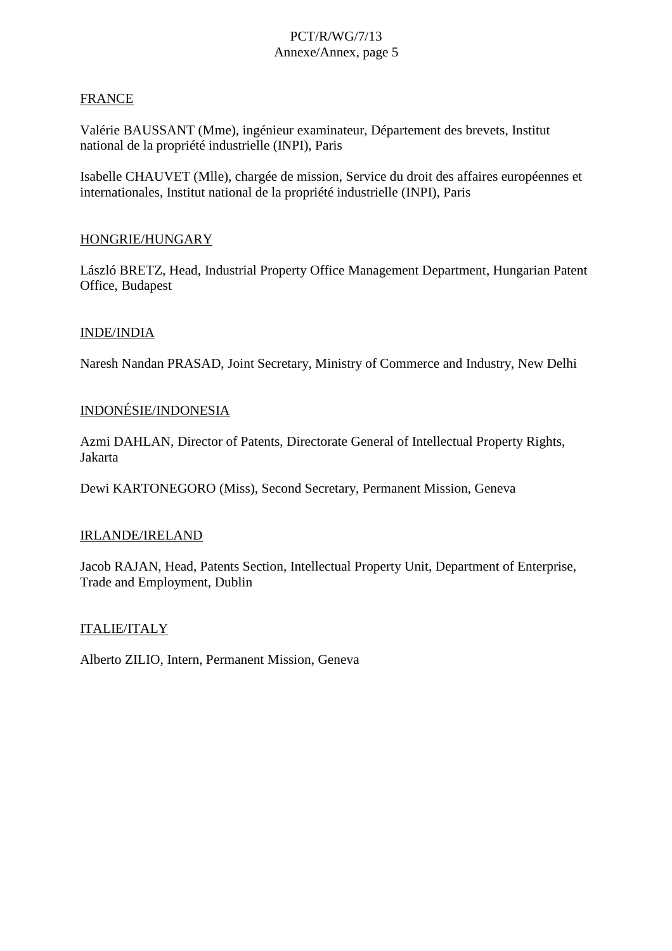#### FRANCE

Valérie BAUSSANT (Mme), ingénieur examinateur, Département des brevets, Institut national de la propriété industrielle (INPI), Paris

Isabelle CHAUVET (Mlle), chargée de mission, Service du droit des affaires européennes et internationales, Institut national de la propriété industrielle (INPI), Paris

#### HONGRIE/HUNGARY

László BRETZ, Head, Industrial Property Office Management Department, Hungarian Patent Office, Budapest

#### INDE/INDIA

Naresh Nandan PRASAD, Joint Secretary, Ministry of Commerce and Industry, New Delhi

#### INDONÉSIE/INDONESIA

Azmi DAHLAN, Director of Patents, Directorate General of Intellectual Property Rights, Jakarta

Dewi KARTONEGORO (Miss), Second Secretary, Permanent Mission, Geneva

#### IRLANDE/IRELAND

Jacob RAJAN, Head, Patents Section, Intellectual Property Unit, Department of Enterprise, Trade and Employment, Dublin

# ITALIE/ITALY

Alberto ZILIO, Intern, Permanent Mission, Geneva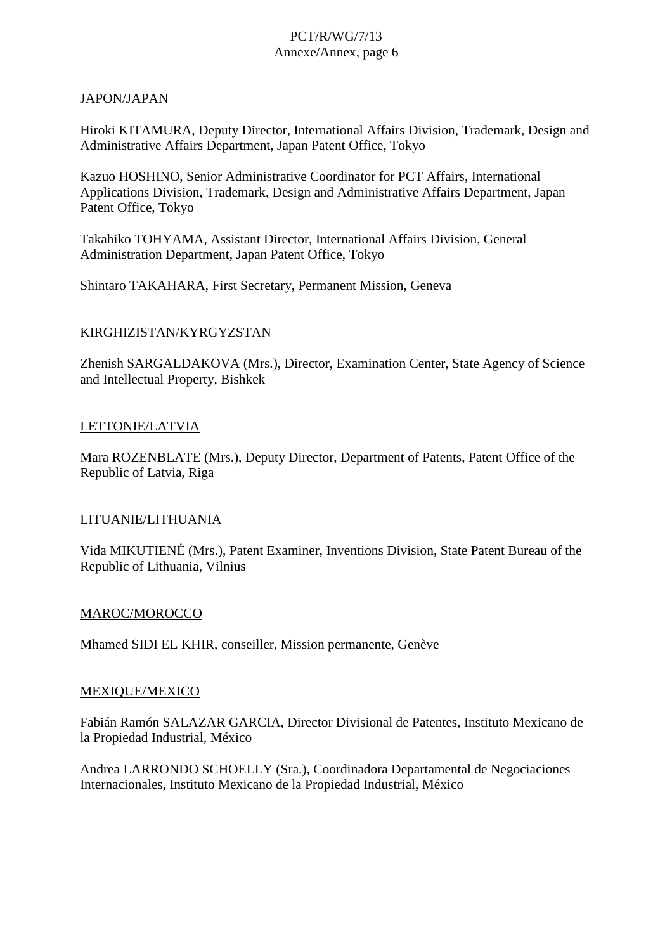#### JAPON/JAPAN

Hiroki KITAMURA, Deputy Director, International Affairs Division, Trademark, Design and Administrative Affairs Department, Japan Patent Office, Tokyo

Kazuo HOSHINO, Senior Administrative Coordinator for PCT Affairs, International Applications Division, Trademark, Design and Administrative Affairs Department, Japan Patent Office, Tokyo

Takahiko TOHYAMA, Assistant Director, International Affairs Division, General Administration Department, Japan Patent Office, Tokyo

Shintaro TAKAHARA, First Secretary, Permanent Mission, Geneva

#### KIRGHIZISTAN/KYRGYZSTAN

Zhenish SARGALDAKOVA (Mrs.), Director, Examination Center, State Agency of Science and Intellectual Property, Bishkek

#### LETTONIE/LATVIA

Mara ROZENBLATE (Mrs.), Deputy Director, Department of Patents, Patent Office of the Republic of Latvia, Riga

#### LITUANIE/LITHUANIA

Vida MIKUTIENĖ (Mrs.), Patent Examiner, Inventions Division, State Patent Bureau of the Republic of Lithuania, Vilnius

# MAROC/MOROCCO

Mhamed SIDI EL KHIR, conseiller, Mission permanente, Genève

#### MEXIQUE/MEXICO

Fabián Ramón SALAZAR GARCIA, Director Divisional de Patentes, Instituto Mexicano de la Propiedad Industrial, México

Andrea LARRONDO SCHOELLY (Sra.), Coordinadora Departamental de Negociaciones Internacionales, Instituto Mexicano de la Propiedad Industrial, México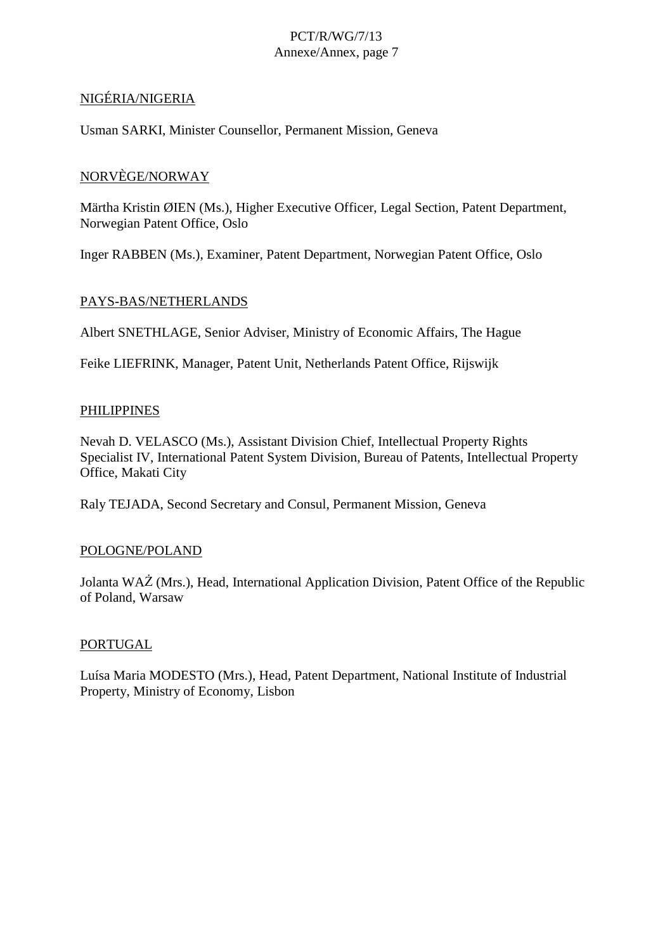# NIGÉRIA/NIGERIA

Usman SARKI, Minister Counsellor, Permanent Mission, Geneva

#### NORVÈGE/NORWAY

Märtha Kristin ØIEN (Ms.), Higher Executive Officer, Legal Section, Patent Department, Norwegian Patent Office, Oslo

Inger RABBEN (Ms.), Examiner, Patent Department, Norwegian Patent Office, Oslo

#### PAYS-BAS/NETHERLANDS

Albert SNETHLAGE, Senior Adviser, Ministry of Economic Affairs, The Hague

Feike LIEFRINK, Manager, Patent Unit, Netherlands Patent Office, Rijswijk

#### PHILIPPINES

Nevah D. VELASCO (Ms.), Assistant Division Chief, Intellectual Property Rights Specialist IV, International Patent System Division, Bureau of Patents, Intellectual Property Office, Makati City

Raly TEJADA, Second Secretary and Consul, Permanent Mission, Geneva

#### POLOGNE/POLAND

Jolanta WAŻ (Mrs.), Head, International Application Division, Patent Office of the Republic of Poland, Warsaw

#### **PORTUGAL**

Luísa Maria MODESTO (Mrs.), Head, Patent Department, National Institute of Industrial Property, Ministry of Economy, Lisbon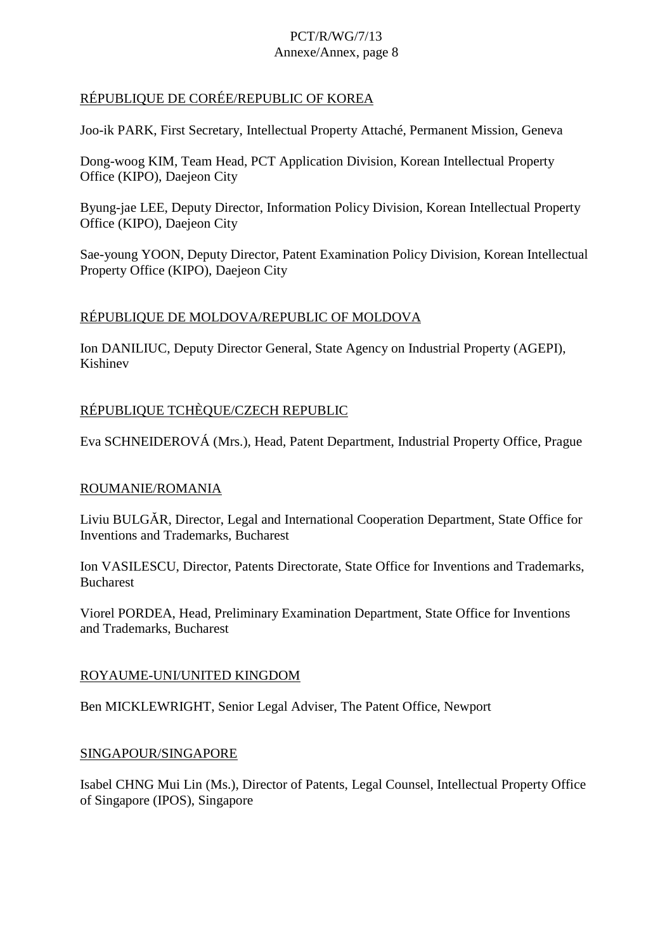# RÉPUBLIQUE DE CORÉE/REPUBLIC OF KOREA

Joo-ik PARK, First Secretary, Intellectual Property Attaché, Permanent Mission, Geneva

Dong-woog KIM, Team Head, PCT Application Division, Korean Intellectual Property Office (KIPO), Daejeon City

Byung-jae LEE, Deputy Director, Information Policy Division, Korean Intellectual Property Office (KIPO), Daejeon City

Sae-young YOON, Deputy Director, Patent Examination Policy Division, Korean Intellectual Property Office (KIPO), Daejeon City

#### RÉPUBLIQUE DE MOLDOVA/REPUBLIC OF MOLDOVA

Ion DANILIUC, Deputy Director General, State Agency on Industrial Property (AGEPI), Kishinev

# RÉPUBLIQUE TCHÈQUE/CZECH REPUBLIC

Eva SCHNEIDEROVÁ (Mrs.), Head, Patent Department, Industrial Property Office, Prague

# ROUMANIE/ROMANIA

Liviu BULGAR, Director, Legal and International Cooperation Department, State Office for Inventions and Trademarks, Bucharest

Ion VASILESCU, Director, Patents Directorate, State Office for Inventions and Trademarks, Bucharest

Viorel PORDEA, Head, Preliminary Examination Department, State Office for Inventions and Trademarks, Bucharest

#### ROYAUME-UNI/UNITED KINGDOM

Ben MICKLEWRIGHT, Senior Legal Adviser, The Patent Office, Newport

#### SINGAPOUR/SINGAPORE

Isabel CHNG Mui Lin (Ms.), Director of Patents, Legal Counsel, Intellectual Property Office of Singapore (IPOS), Singapore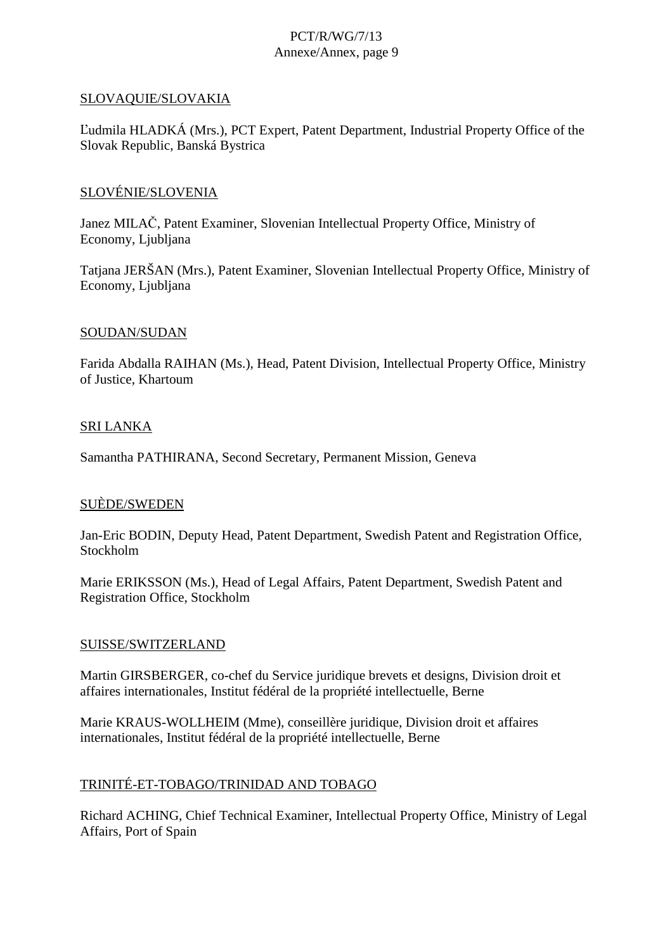#### SLOVAQUIE/SLOVAKIA

udmila HLADKÁ (Mrs.), PCT Expert, Patent Department, Industrial Property Office of the Slovak Republic, Banská Bystrica

### SLOVÉNIE/SLOVENIA

Janez MILAČ, Patent Examiner, Slovenian Intellectual Property Office, Ministry of Economy, Ljubljana

Tatiana JERŠAN (Mrs.), Patent Examiner, Slovenian Intellectual Property Office, Ministry of Economy, Ljubljana

#### SOUDAN/SUDAN

Farida Abdalla RAIHAN (Ms.), Head, Patent Division, Intellectual Property Office, Ministry of Justice, Khartoum

#### SRI LANKA

Samantha PATHIRANA, Second Secretary, Permanent Mission, Geneva

#### SUÈDE/SWEDEN

Jan-Eric BODIN, Deputy Head, Patent Department, Swedish Patent and Registration Office, Stockholm

Marie ERIKSSON (Ms.), Head of Legal Affairs, Patent Department, Swedish Patent and Registration Office, Stockholm

#### SUISSE/SWITZERLAND

Martin GIRSBERGER, co-chef du Service juridique brevets et designs, Division droit et affaires internationales, Institut fédéral de la propriété intellectuelle, Berne

Marie KRAUS-WOLLHEIM (Mme), conseillère juridique, Division droit et affaires internationales, Institut fédéral de la propriété intellectuelle, Berne

#### TRINITÉ-ET-TOBAGO/TRINIDAD AND TOBAGO

Richard ACHING, Chief Technical Examiner, Intellectual Property Office, Ministry of Legal Affairs, Port of Spain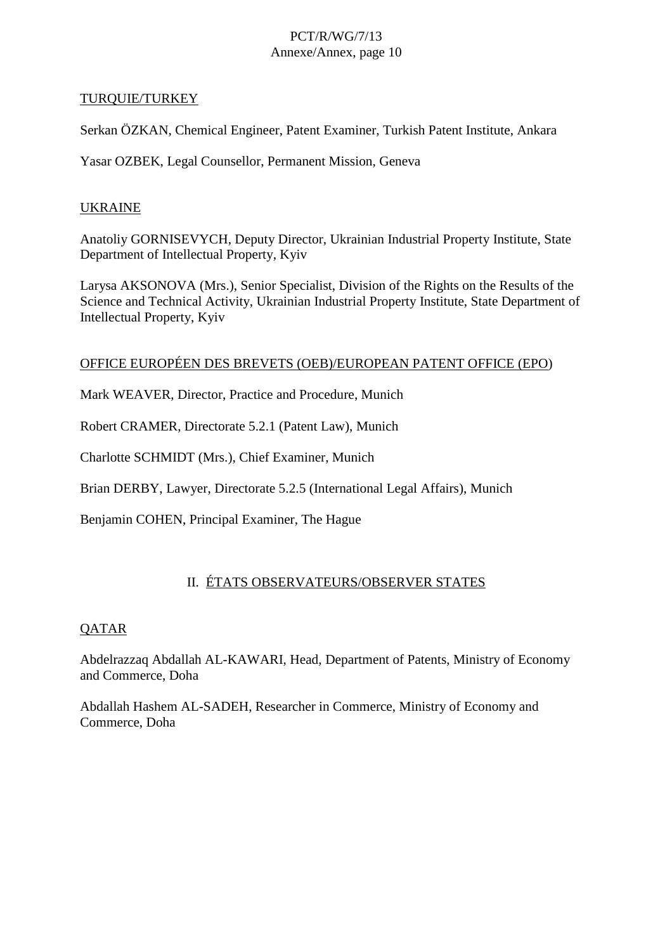#### TURQUIE/TURKEY

Serkan ÖZKAN, Chemical Engineer, Patent Examiner, Turkish Patent Institute, Ankara

Yasar OZBEK, Legal Counsellor, Permanent Mission, Geneva

#### UKRAINE

Anatoliy GORNISEVYCH, Deputy Director, Ukrainian Industrial Property Institute, State Department of Intellectual Property, Kyiv

Larysa AKSONOVA (Mrs.), Senior Specialist, Division of the Rights on the Results of the Science and Technical Activity, Ukrainian Industrial Property Institute, State Department of Intellectual Property, Kyiv

#### OFFICE EUROPÉEN DES BREVETS (OEB)/EUROPEAN PATENT OFFICE (EPO)

Mark WEAVER, Director, Practice and Procedure, Munich

Robert CRAMER, Directorate 5.2.1 (Patent Law), Munich

Charlotte SCHMIDT (Mrs.), Chief Examiner, Munich

Brian DERBY, Lawyer, Directorate 5.2.5 (International Legal Affairs), Munich

Benjamin COHEN, Principal Examiner, The Hague

# II. ÉTATS OBSERVATEURS/OBSERVER STATES

# QATAR

Abdelrazzaq Abdallah AL-KAWARI, Head, Department of Patents, Ministry of Economy and Commerce, Doha

Abdallah Hashem AL-SADEH, Researcher in Commerce, Ministry of Economy and Commerce, Doha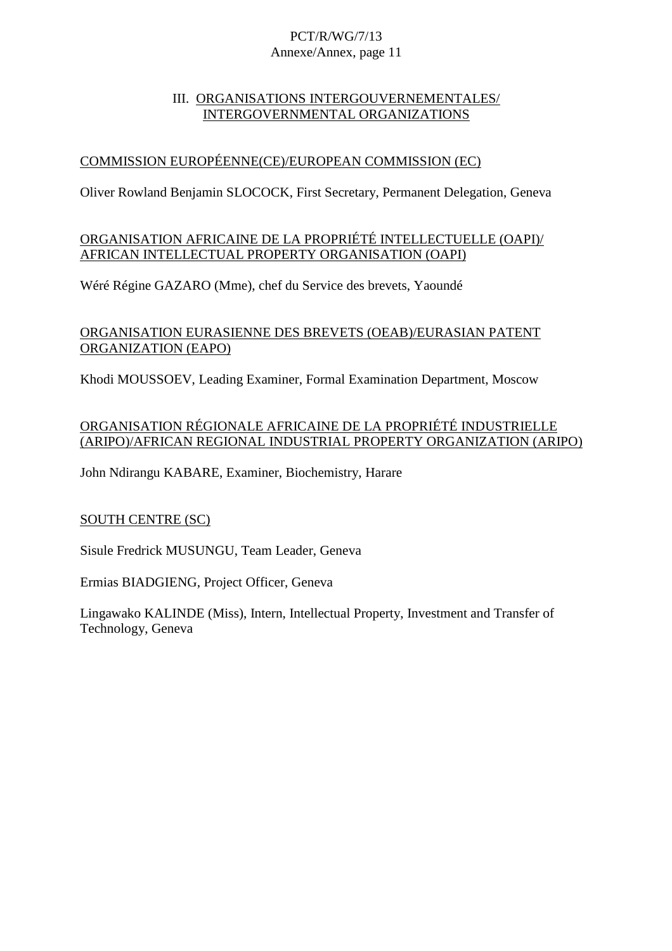#### III. ORGANISATIONS INTERGOUVERNEMENTALES/ INTERGOVERNMENTAL ORGANIZATIONS

# COMMISSION EUROPÉENNE(CE)/EUROPEAN COMMISSION (EC)

Oliver Rowland Benjamin SLOCOCK, First Secretary, Permanent Delegation, Geneva

### ORGANISATION AFRICAINE DE LA PROPRIÉTÉ INTELLECTUELLE (OAPI)/ AFRICAN INTELLECTUAL PROPERTY ORGANISATION (OAPI)

Wéré Régine GAZARO (Mme), chef du Service des brevets, Yaoundé

# ORGANISATION EURASIENNE DES BREVETS (OEAB)/EURASIAN PATENT ORGANIZATION (EAPO)

Khodi MOUSSOEV, Leading Examiner, Formal Examination Department, Moscow

# ORGANISATION RÉGIONALE AFRICAINE DE LA PROPRIÉTÉ INDUSTRIELLE (ARIPO)/AFRICAN REGIONAL INDUSTRIAL PROPERTY ORGANIZATION (ARIPO)

John Ndirangu KABARE, Examiner, Biochemistry, Harare

# SOUTH CENTRE (SC)

Sisule Fredrick MUSUNGU, Team Leader, Geneva

Ermias BIADGIENG, Project Officer, Geneva

Lingawako KALINDE (Miss), Intern, Intellectual Property, Investment and Transfer of Technology, Geneva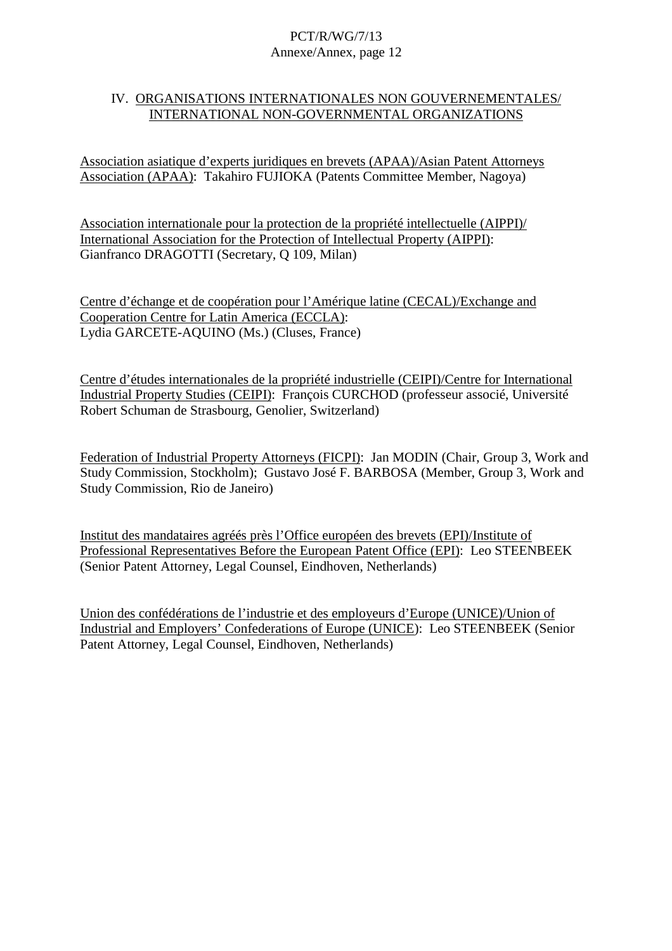### IV. ORGANISATIONS INTERNATIONALES NON GOUVERNEMENTALES/ INTERNATIONAL NON-GOVERNMENTAL ORGANIZATIONS

Association asiatique d'experts juridiques en brevets (APAA)/Asian Patent Attorneys Association (APAA): Takahiro FUJIOKA (Patents Committee Member, Nagoya)

Association internationale pour la protection de la propriété intellectuelle (AIPPI)/ International Association for the Protection of Intellectual Property (AIPPI): Gianfranco DRAGOTTI (Secretary, Q 109, Milan)

Centre d'échange et de coopération pour l'Amérique latine (CECAL)/Exchange and Cooperation Centre for Latin America (ECCLA): Lydia GARCETE-AQUINO (Ms.) (Cluses, France)

Centre d'études internationales de la propriété industrielle (CEIPI)/Centre for International Industrial Property Studies (CEIPI): François CURCHOD (professeur associé, Université Robert Schuman de Strasbourg, Genolier, Switzerland)

Federation of Industrial Property Attorneys (FICPI): Jan MODIN (Chair, Group 3, Work and Study Commission, Stockholm); Gustavo José F. BARBOSA (Member, Group 3, Work and Study Commission, Rio de Janeiro)

Institut des mandataires agréés près l'Office européen des brevets (EPI)/Institute of Professional Representatives Before the European Patent Office (EPI): Leo STEENBEEK (Senior Patent Attorney, Legal Counsel, Eindhoven, Netherlands)

Union des confédérations de l'industrie et des employeurs d'Europe (UNICE)/Union of Industrial and Employers' Confederations of Europe (UNICE): Leo STEENBEEK (Senior Patent Attorney, Legal Counsel, Eindhoven, Netherlands)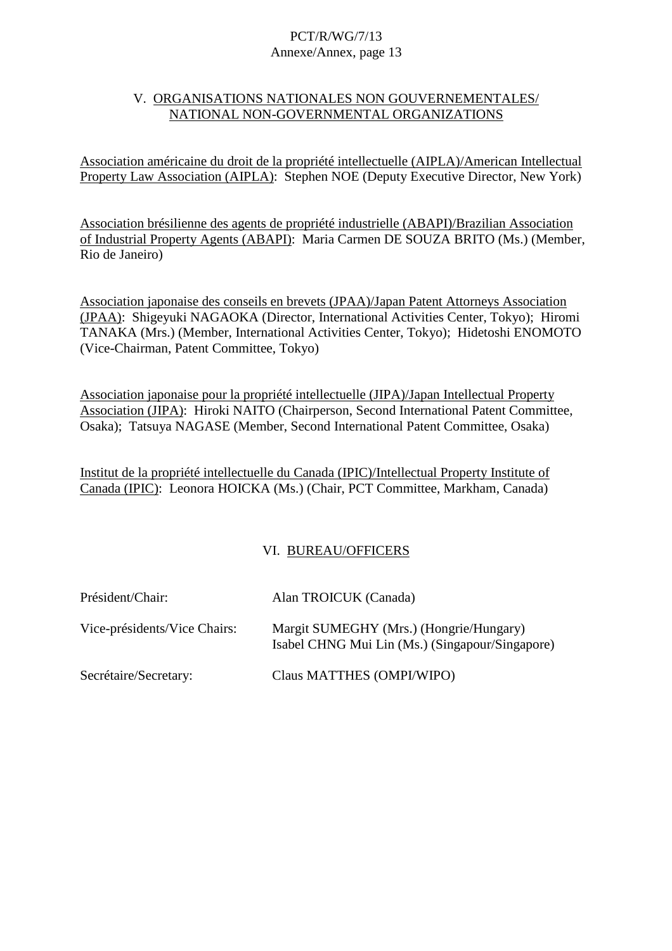### V. ORGANISATIONS NATIONALES NON GOUVERNEMENTALES/ NATIONAL NON-GOVERNMENTAL ORGANIZATIONS

Association américaine du droit de la propriété intellectuelle (AIPLA)/American Intellectual Property Law Association (AIPLA): Stephen NOE (Deputy Executive Director, New York)

Association brésilienne des agents de propriété industrielle (ABAPI)/Brazilian Association of Industrial Property Agents (ABAPI): Maria Carmen DE SOUZA BRITO (Ms.) (Member, Rio de Janeiro)

Association japonaise des conseils en brevets (JPAA)/Japan Patent Attorneys Association (JPAA): Shigeyuki NAGAOKA (Director, International Activities Center, Tokyo); Hiromi TANAKA (Mrs.) (Member, International Activities Center, Tokyo); Hidetoshi ENOMOTO (Vice-Chairman, Patent Committee, Tokyo)

Association japonaise pour la propriété intellectuelle (JIPA)/Japan Intellectual Property Association (JIPA): Hiroki NAITO (Chairperson, Second International Patent Committee, Osaka); Tatsuya NAGASE (Member, Second International Patent Committee, Osaka)

Institut de la propriété intellectuelle du Canada (IPIC)/Intellectual Property Institute of Canada (IPIC): Leonora HOICKA (Ms.) (Chair, PCT Committee, Markham, Canada)

# VI. BUREAU/OFFICERS

| Président/Chair:             | Alan TROICUK (Canada)                                                                      |
|------------------------------|--------------------------------------------------------------------------------------------|
| Vice-présidents/Vice Chairs: | Margit SUMEGHY (Mrs.) (Hongrie/Hungary)<br>Isabel CHNG Mui Lin (Ms.) (Singapour/Singapore) |
| Secrétaire/Secretary:        | Claus MATTHES (OMPI/WIPO)                                                                  |